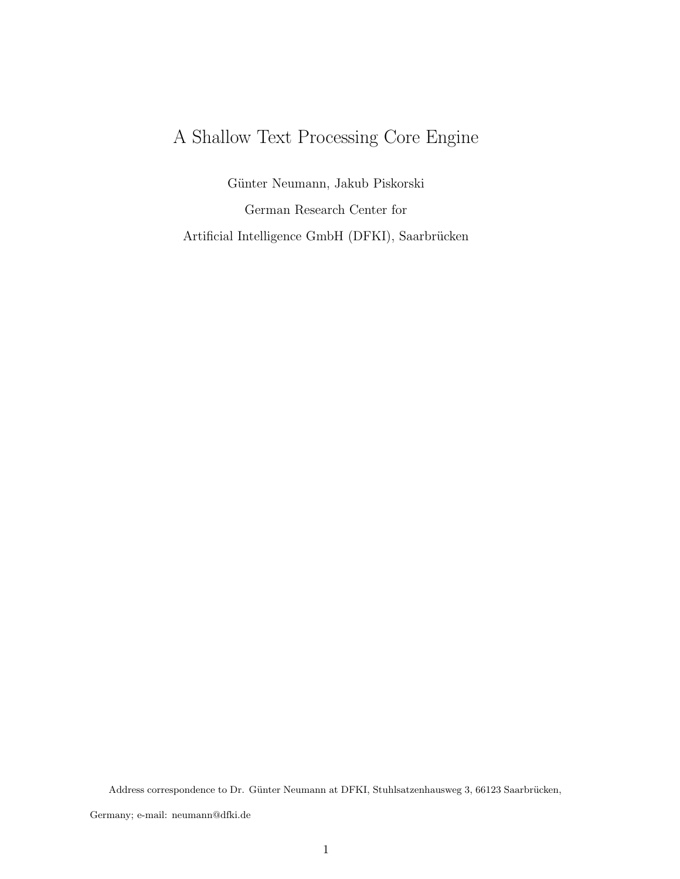## A Shallow Text Processing Core Engine

Günter Neumann, Jakub Piskorski German Research Center for Artificial Intelligence GmbH (DFKI), Saarbrücken

Address correspondence to Dr. Günter Neumann at DFKI, Stuhlsatzenhausweg 3, 66123 Saarbrücken,

Germany; e-mail: neumann@dfki.de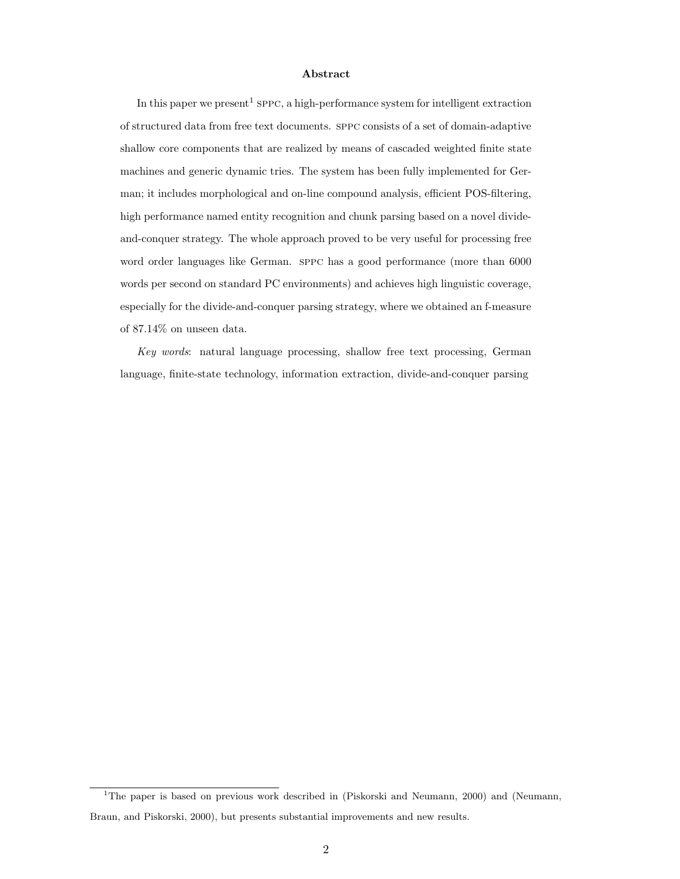#### Abstract

In this paper we present<sup>1</sup> SPPC, a high-performance system for intelligent extraction of structured data from free text documents. sppc consists of a set of domain-adaptive shallow core components that are realized by means of cascaded weighted finite state machines and generic dynamic tries. The system has been fully implemented for German; it includes morphological and on-line compound analysis, efficient POS-filtering, high performance named entity recognition and chunk parsing based on a novel divideand-conquer strategy. The whole approach proved to be very useful for processing free word order languages like German. sppc has a good performance (more than 6000 words per second on standard PC environments) and achieves high linguistic coverage, especially for the divide-and-conquer parsing strategy, where we obtained an f-measure of 87.14% on unseen data.

Key words: natural language processing, shallow free text processing, German language, finite-state technology, information extraction, divide-and-conquer parsing

<sup>&</sup>lt;sup>1</sup>The paper is based on previous work described in (Piskorski and Neumann, 2000) and (Neumann, Braun, and Piskorski, 2000), but presents substantial improvements and new results.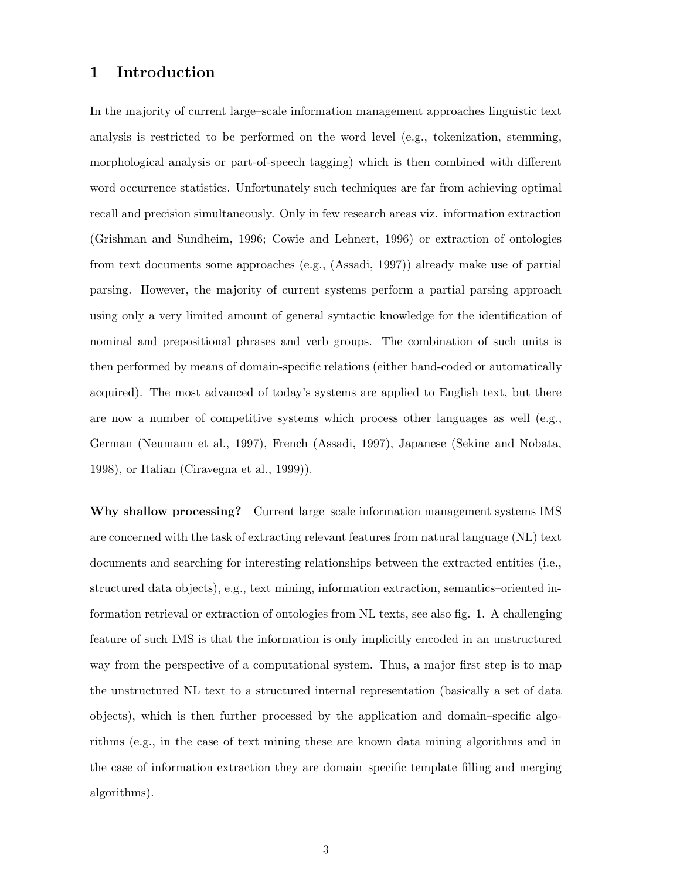## 1 Introduction

In the majority of current large–scale information management approaches linguistic text analysis is restricted to be performed on the word level (e.g., tokenization, stemming, morphological analysis or part-of-speech tagging) which is then combined with different word occurrence statistics. Unfortunately such techniques are far from achieving optimal recall and precision simultaneously. Only in few research areas viz. information extraction (Grishman and Sundheim, 1996; Cowie and Lehnert, 1996) or extraction of ontologies from text documents some approaches (e.g., (Assadi, 1997)) already make use of partial parsing. However, the majority of current systems perform a partial parsing approach using only a very limited amount of general syntactic knowledge for the identification of nominal and prepositional phrases and verb groups. The combination of such units is then performed by means of domain-specific relations (either hand-coded or automatically acquired). The most advanced of today's systems are applied to English text, but there are now a number of competitive systems which process other languages as well (e.g., German (Neumann et al., 1997), French (Assadi, 1997), Japanese (Sekine and Nobata, 1998), or Italian (Ciravegna et al., 1999)).

Why shallow processing? Current large–scale information management systems IMS are concerned with the task of extracting relevant features from natural language (NL) text documents and searching for interesting relationships between the extracted entities (i.e., structured data objects), e.g., text mining, information extraction, semantics–oriented information retrieval or extraction of ontologies from NL texts, see also fig. 1. A challenging feature of such IMS is that the information is only implicitly encoded in an unstructured way from the perspective of a computational system. Thus, a major first step is to map the unstructured NL text to a structured internal representation (basically a set of data objects), which is then further processed by the application and domain–specific algorithms (e.g., in the case of text mining these are known data mining algorithms and in the case of information extraction they are domain–specific template filling and merging algorithms).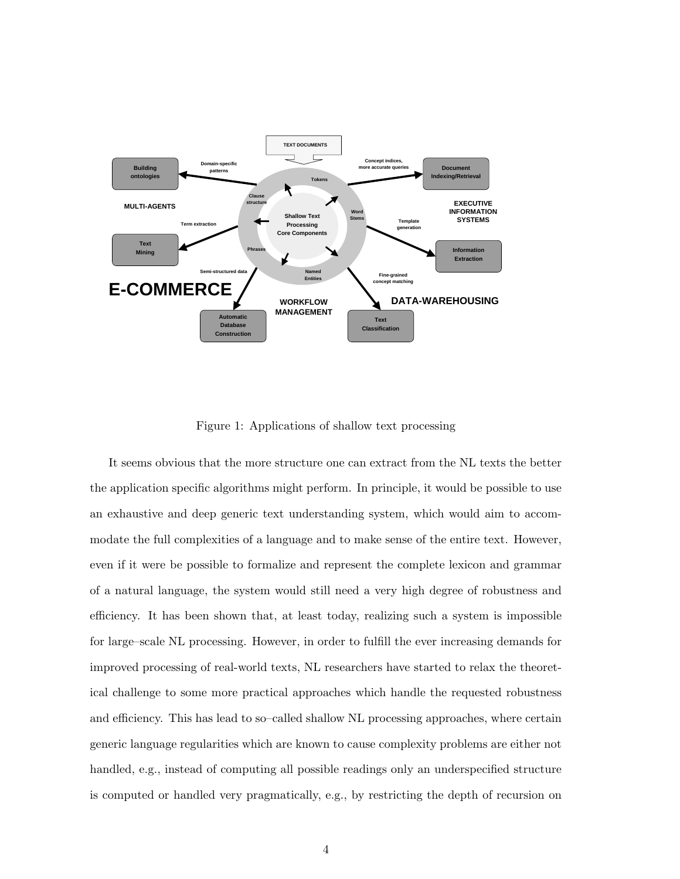

Figure 1: Applications of shallow text processing

It seems obvious that the more structure one can extract from the NL texts the better the application specific algorithms might perform. In principle, it would be possible to use an exhaustive and deep generic text understanding system, which would aim to accommodate the full complexities of a language and to make sense of the entire text. However, even if it were be possible to formalize and represent the complete lexicon and grammar of a natural language, the system would still need a very high degree of robustness and efficiency. It has been shown that, at least today, realizing such a system is impossible for large–scale NL processing. However, in order to fulfill the ever increasing demands for improved processing of real-world texts, NL researchers have started to relax the theoretical challenge to some more practical approaches which handle the requested robustness and efficiency. This has lead to so–called shallow NL processing approaches, where certain generic language regularities which are known to cause complexity problems are either not handled, e.g., instead of computing all possible readings only an underspecified structure is computed or handled very pragmatically, e.g., by restricting the depth of recursion on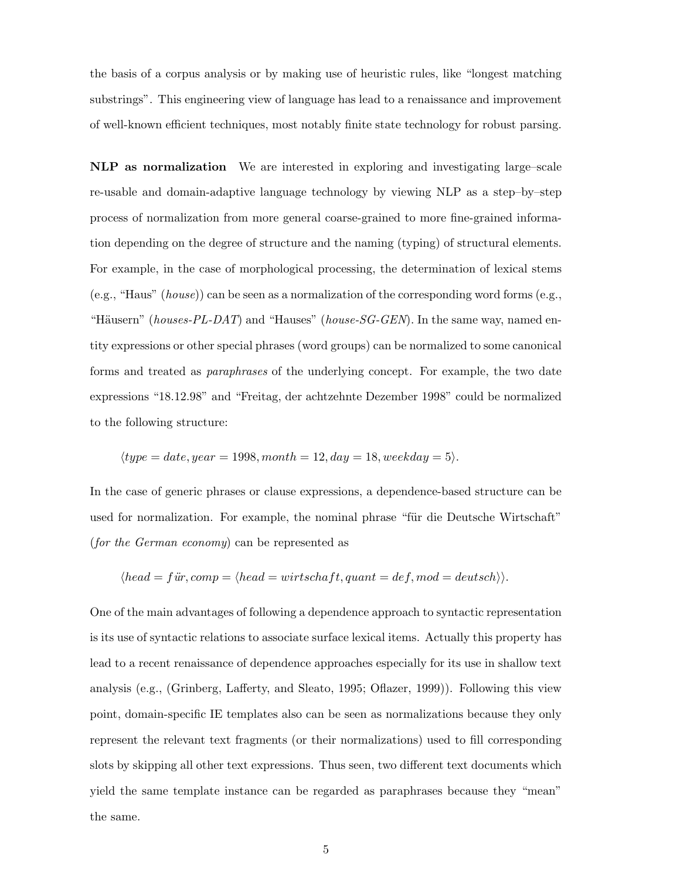the basis of a corpus analysis or by making use of heuristic rules, like "longest matching substrings". This engineering view of language has lead to a renaissance and improvement of well-known efficient techniques, most notably finite state technology for robust parsing.

NLP as normalization We are interested in exploring and investigating large–scale re-usable and domain-adaptive language technology by viewing NLP as a step–by–step process of normalization from more general coarse-grained to more fine-grained information depending on the degree of structure and the naming (typing) of structural elements. For example, in the case of morphological processing, the determination of lexical stems  $(e.g., "Haus" (house))$  can be seen as a normalization of the corresponding word forms  $(e.g.,$ "Häusern" (houses-PL-DAT) and "Hauses" (house-SG-GEN). In the same way, named entity expressions or other special phrases (word groups) can be normalized to some canonical forms and treated as paraphrases of the underlying concept. For example, the two date expressions "18.12.98" and "Freitag, der achtzehnte Dezember 1998" could be normalized to the following structure:

$$
\langle type = date, year = 1998, month = 12, day = 18, weekday = 5 \rangle.
$$

In the case of generic phrases or clause expressions, a dependence-based structure can be used for normalization. For example, the nominal phrase "für die Deutsche Wirtschaft" (for the German economy) can be represented as

$$
\langle head = f\ddot{u}r, comp = \langle head = wirtschaft, quant = def, mod = deutsche \rangle \rangle.
$$

One of the main advantages of following a dependence approach to syntactic representation is its use of syntactic relations to associate surface lexical items. Actually this property has lead to a recent renaissance of dependence approaches especially for its use in shallow text analysis (e.g., (Grinberg, Lafferty, and Sleato, 1995; Oflazer, 1999)). Following this view point, domain-specific IE templates also can be seen as normalizations because they only represent the relevant text fragments (or their normalizations) used to fill corresponding slots by skipping all other text expressions. Thus seen, two different text documents which yield the same template instance can be regarded as paraphrases because they "mean" the same.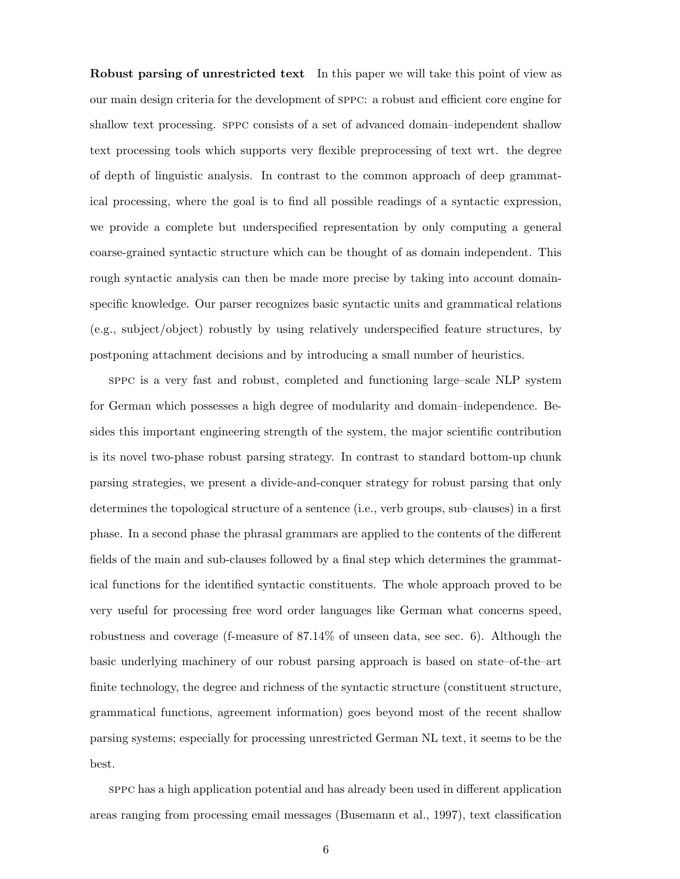Robust parsing of unrestricted text In this paper we will take this point of view as our main design criteria for the development of sppc: a robust and efficient core engine for shallow text processing. sppc consists of a set of advanced domain–independent shallow text processing tools which supports very flexible preprocessing of text wrt. the degree of depth of linguistic analysis. In contrast to the common approach of deep grammatical processing, where the goal is to find all possible readings of a syntactic expression, we provide a complete but underspecified representation by only computing a general coarse-grained syntactic structure which can be thought of as domain independent. This rough syntactic analysis can then be made more precise by taking into account domainspecific knowledge. Our parser recognizes basic syntactic units and grammatical relations (e.g., subject/object) robustly by using relatively underspecified feature structures, by postponing attachment decisions and by introducing a small number of heuristics.

sppc is a very fast and robust, completed and functioning large–scale NLP system for German which possesses a high degree of modularity and domain–independence. Besides this important engineering strength of the system, the major scientific contribution is its novel two-phase robust parsing strategy. In contrast to standard bottom-up chunk parsing strategies, we present a divide-and-conquer strategy for robust parsing that only determines the topological structure of a sentence (i.e., verb groups, sub–clauses) in a first phase. In a second phase the phrasal grammars are applied to the contents of the different fields of the main and sub-clauses followed by a final step which determines the grammatical functions for the identified syntactic constituents. The whole approach proved to be very useful for processing free word order languages like German what concerns speed, robustness and coverage (f-measure of 87.14% of unseen data, see sec. 6). Although the basic underlying machinery of our robust parsing approach is based on state–of-the–art finite technology, the degree and richness of the syntactic structure (constituent structure, grammatical functions, agreement information) goes beyond most of the recent shallow parsing systems; especially for processing unrestricted German NL text, it seems to be the best.

sppc has a high application potential and has already been used in different application areas ranging from processing email messages (Busemann et al., 1997), text classification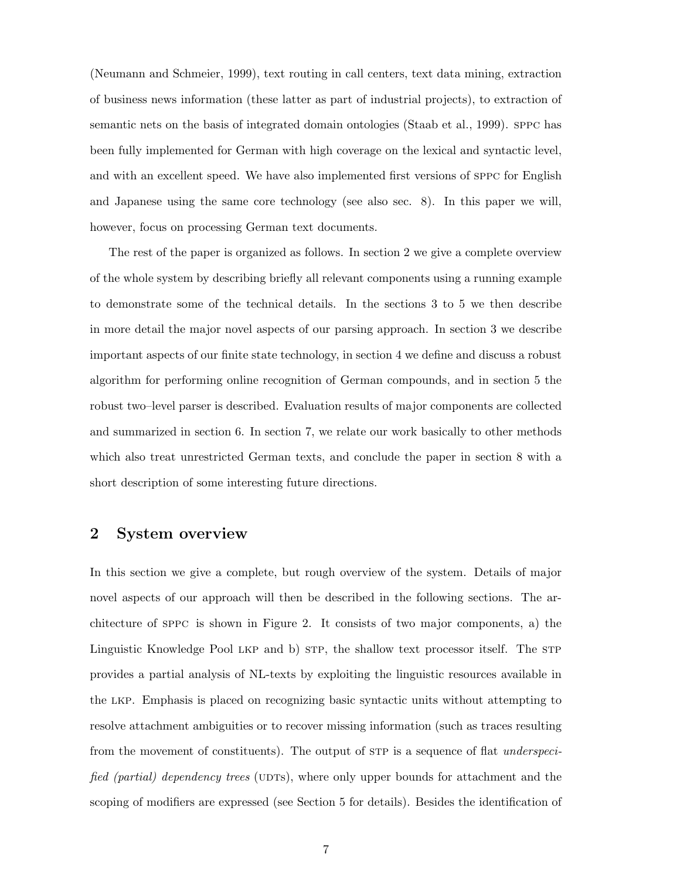(Neumann and Schmeier, 1999), text routing in call centers, text data mining, extraction of business news information (these latter as part of industrial projects), to extraction of semantic nets on the basis of integrated domain ontologies (Staab et al., 1999). sppc has been fully implemented for German with high coverage on the lexical and syntactic level, and with an excellent speed. We have also implemented first versions of sppc for English and Japanese using the same core technology (see also sec. 8). In this paper we will, however, focus on processing German text documents.

The rest of the paper is organized as follows. In section 2 we give a complete overview of the whole system by describing briefly all relevant components using a running example to demonstrate some of the technical details. In the sections 3 to 5 we then describe in more detail the major novel aspects of our parsing approach. In section 3 we describe important aspects of our finite state technology, in section 4 we define and discuss a robust algorithm for performing online recognition of German compounds, and in section 5 the robust two–level parser is described. Evaluation results of major components are collected and summarized in section 6. In section 7, we relate our work basically to other methods which also treat unrestricted German texts, and conclude the paper in section 8 with a short description of some interesting future directions.

## 2 System overview

In this section we give a complete, but rough overview of the system. Details of major novel aspects of our approach will then be described in the following sections. The architecture of sppc is shown in Figure 2. It consists of two major components, a) the Linguistic Knowledge Pool LKP and b) STP, the shallow text processor itself. The STP provides a partial analysis of NL-texts by exploiting the linguistic resources available in the lkp. Emphasis is placed on recognizing basic syntactic units without attempting to resolve attachment ambiguities or to recover missing information (such as traces resulting from the movement of constituents). The output of STP is a sequence of flat underspecified (partial) dependency trees (UDTs), where only upper bounds for attachment and the scoping of modifiers are expressed (see Section 5 for details). Besides the identification of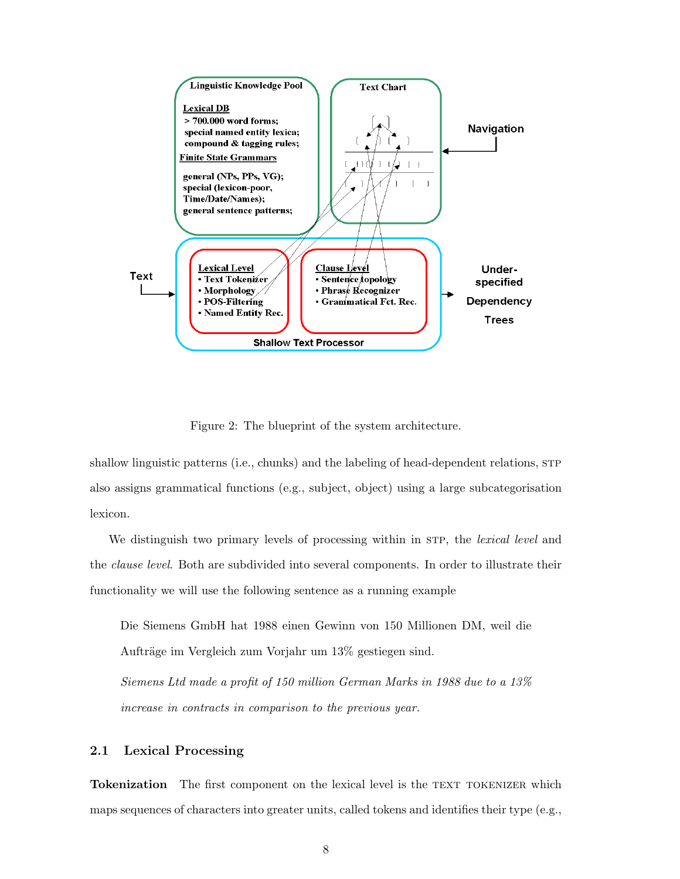

Figure 2: The blueprint of the system architecture.

shallow linguistic patterns (i.e., chunks) and the labeling of head-dependent relations, STP also assigns grammatical functions (e.g., subject, object) using a large subcategorisation lexicon.

We distinguish two primary levels of processing within in STP, the *lexical level* and the clause level. Both are subdivided into several components. In order to illustrate their functionality we will use the following sentence as a running example

Die Siemens GmbH hat 1988 einen Gewinn von 150 Millionen DM, weil die Aufträge im Vergleich zum Vorjahr um 13% gestiegen sind.

Siemens Ltd made a profit of 150 million German Marks in 1988 due to a 13% increase in contracts in comparison to the previous year.

#### 2.1 Lexical Processing

**Tokenization** The first component on the lexical level is the TEXT TOKENIZER which maps sequences of characters into greater units, called tokens and identifies their type (e.g.,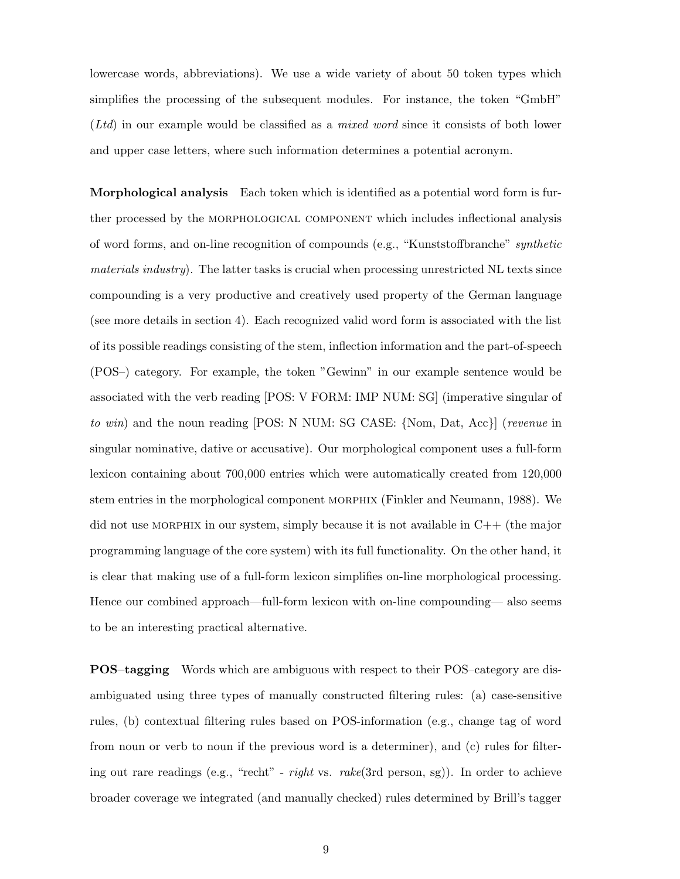lowercase words, abbreviations). We use a wide variety of about 50 token types which simplifies the processing of the subsequent modules. For instance, the token "GmbH"  $(Ltd)$  in our example would be classified as a *mixed word* since it consists of both lower and upper case letters, where such information determines a potential acronym.

Morphological analysis Each token which is identified as a potential word form is further processed by the morphological component which includes inflectional analysis of word forms, and on-line recognition of compounds (e.g., "Kunststoffbranche" synthetic materials industry). The latter tasks is crucial when processing unrestricted NL texts since compounding is a very productive and creatively used property of the German language (see more details in section 4). Each recognized valid word form is associated with the list of its possible readings consisting of the stem, inflection information and the part-of-speech (POS–) category. For example, the token "Gewinn" in our example sentence would be associated with the verb reading [POS: V FORM: IMP NUM: SG] (imperative singular of to win) and the noun reading [POS: N NUM: SG CASE: {Nom, Dat, Acc}] (revenue in singular nominative, dative or accusative). Our morphological component uses a full-form lexicon containing about 700,000 entries which were automatically created from 120,000 stem entries in the morphological component morphix (Finkler and Neumann, 1988). We did not use MORPHIX in our system, simply because it is not available in  $C++$  (the major programming language of the core system) with its full functionality. On the other hand, it is clear that making use of a full-form lexicon simplifies on-line morphological processing. Hence our combined approach—full-form lexicon with on-line compounding— also seems to be an interesting practical alternative.

POS–tagging Words which are ambiguous with respect to their POS–category are disambiguated using three types of manually constructed filtering rules: (a) case-sensitive rules, (b) contextual filtering rules based on POS-information (e.g., change tag of word from noun or verb to noun if the previous word is a determiner), and (c) rules for filtering out rare readings (e.g., "recht" - right vs. rake(3rd person, sg)). In order to achieve broader coverage we integrated (and manually checked) rules determined by Brill's tagger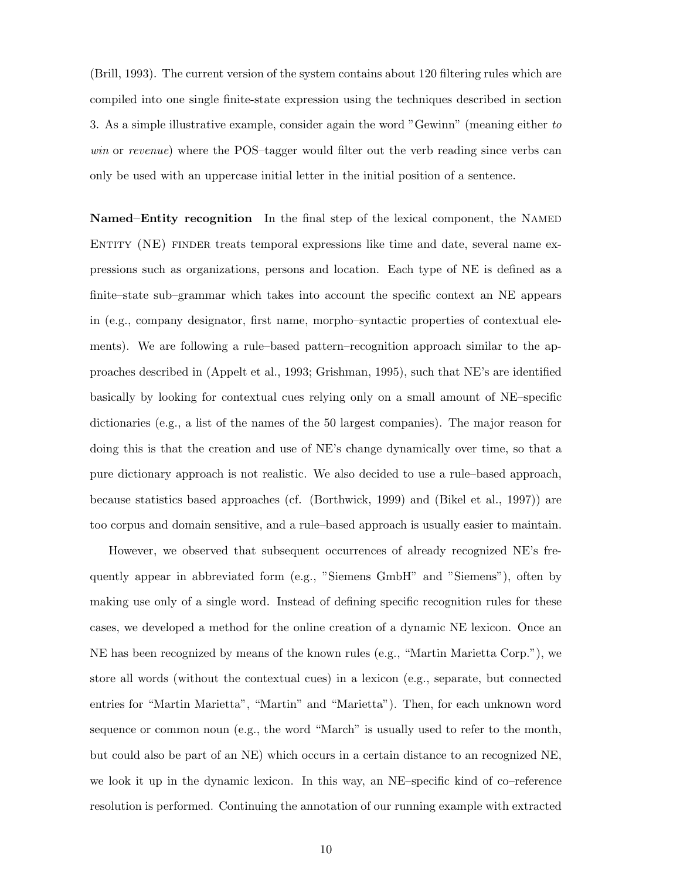(Brill, 1993). The current version of the system contains about 120 filtering rules which are compiled into one single finite-state expression using the techniques described in section 3. As a simple illustrative example, consider again the word "Gewinn" (meaning either to win or revenue) where the POS-tagger would filter out the verb reading since verbs can only be used with an uppercase initial letter in the initial position of a sentence.

Named–Entity recognition In the final step of the lexical component, the Named ENTITY (NE) FINDER treats temporal expressions like time and date, several name expressions such as organizations, persons and location. Each type of NE is defined as a finite–state sub–grammar which takes into account the specific context an NE appears in (e.g., company designator, first name, morpho–syntactic properties of contextual elements). We are following a rule–based pattern–recognition approach similar to the approaches described in (Appelt et al., 1993; Grishman, 1995), such that NE's are identified basically by looking for contextual cues relying only on a small amount of NE–specific dictionaries (e.g., a list of the names of the 50 largest companies). The major reason for doing this is that the creation and use of NE's change dynamically over time, so that a pure dictionary approach is not realistic. We also decided to use a rule–based approach, because statistics based approaches (cf. (Borthwick, 1999) and (Bikel et al., 1997)) are too corpus and domain sensitive, and a rule–based approach is usually easier to maintain.

However, we observed that subsequent occurrences of already recognized NE's frequently appear in abbreviated form (e.g., "Siemens GmbH" and "Siemens"), often by making use only of a single word. Instead of defining specific recognition rules for these cases, we developed a method for the online creation of a dynamic NE lexicon. Once an NE has been recognized by means of the known rules (e.g., "Martin Marietta Corp."), we store all words (without the contextual cues) in a lexicon (e.g., separate, but connected entries for "Martin Marietta", "Martin" and "Marietta"). Then, for each unknown word sequence or common noun (e.g., the word "March" is usually used to refer to the month, but could also be part of an NE) which occurs in a certain distance to an recognized NE, we look it up in the dynamic lexicon. In this way, an NE–specific kind of co–reference resolution is performed. Continuing the annotation of our running example with extracted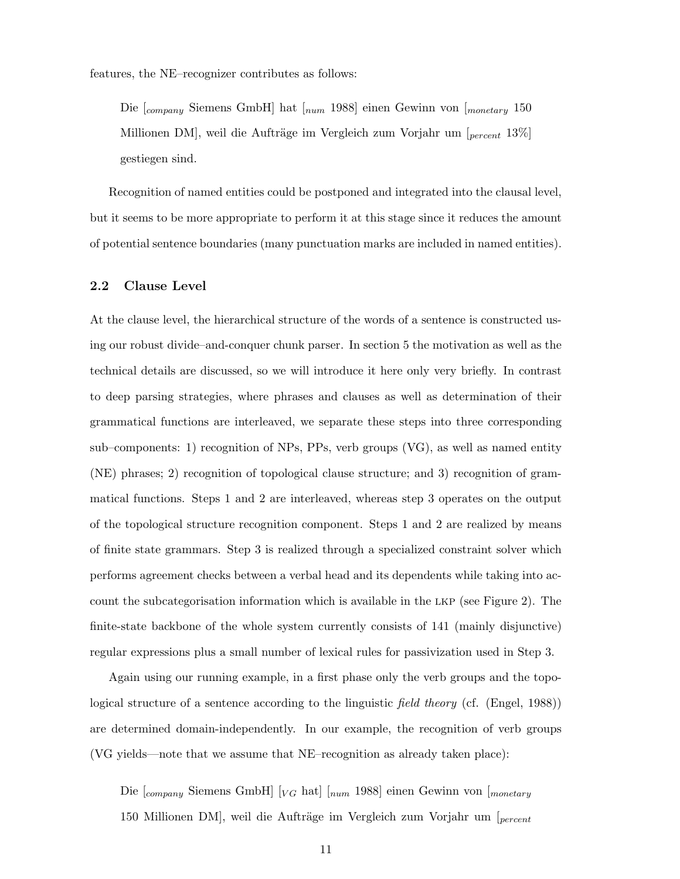features, the NE–recognizer contributes as follows:

Die  $_{\text{[company]}}$  Siemens GmbH hat  $_{\text{[num]}}$  1988 einen Gewinn von  $_{\text{[monetary]}}$  150 Millionen DM], weil die Aufträge im Vergleich zum Vorjahr um  $[percent 13\%]$ gestiegen sind.

Recognition of named entities could be postponed and integrated into the clausal level, but it seems to be more appropriate to perform it at this stage since it reduces the amount of potential sentence boundaries (many punctuation marks are included in named entities).

#### 2.2 Clause Level

At the clause level, the hierarchical structure of the words of a sentence is constructed using our robust divide–and-conquer chunk parser. In section 5 the motivation as well as the technical details are discussed, so we will introduce it here only very briefly. In contrast to deep parsing strategies, where phrases and clauses as well as determination of their grammatical functions are interleaved, we separate these steps into three corresponding sub–components: 1) recognition of NPs, PPs, verb groups (VG), as well as named entity (NE) phrases; 2) recognition of topological clause structure; and 3) recognition of grammatical functions. Steps 1 and 2 are interleaved, whereas step 3 operates on the output of the topological structure recognition component. Steps 1 and 2 are realized by means of finite state grammars. Step 3 is realized through a specialized constraint solver which performs agreement checks between a verbal head and its dependents while taking into account the subcategorisation information which is available in the lkp (see Figure 2). The finite-state backbone of the whole system currently consists of 141 (mainly disjunctive) regular expressions plus a small number of lexical rules for passivization used in Step 3.

Again using our running example, in a first phase only the verb groups and the topological structure of a sentence according to the linguistic field theory (cf. (Engel, 1988)) are determined domain-independently. In our example, the recognition of verb groups (VG yields—note that we assume that NE–recognition as already taken place):

Die  $_{\text{[company]}}$  Siemens GmbH $_{\text{[VG]}}$  hat $_{\text{[num]}}$  1988 $_{\text{[element]}}$  einen Gewinn von  $_{\text{[monetary]}}$ 150 Millionen DM], weil die Aufträge im Vergleich zum Vorjahr um [percent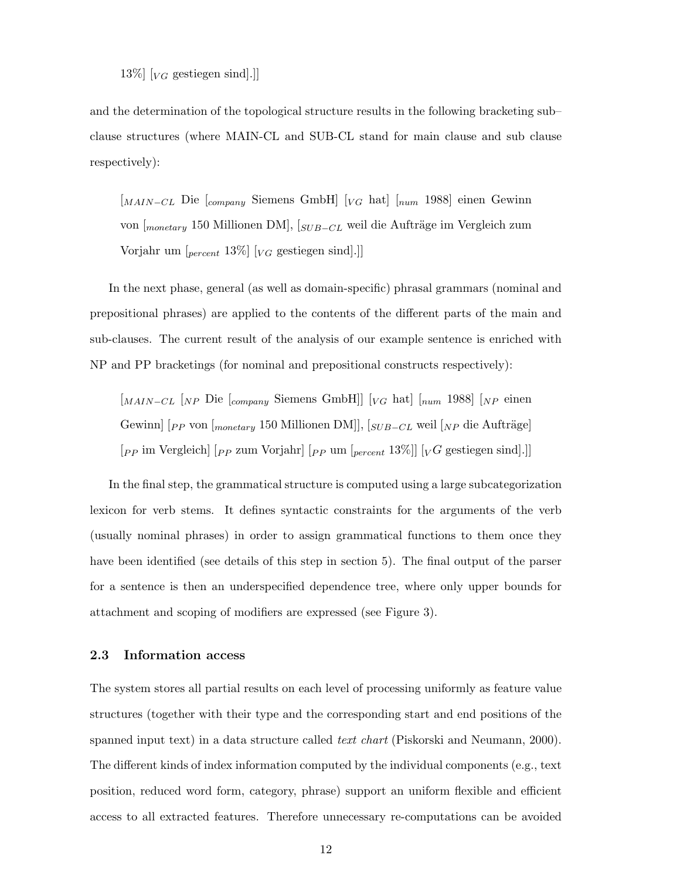13%]  $\lbrack v_G \rbrack$  gestiegen sind.

and the determination of the topological structure results in the following bracketing sub– clause structures (where MAIN-CL and SUB-CL stand for main clause and sub clause respectively):

 $\left[_{MAIN-CL}\right]$  Die  $\left[_{company}\right]$  Siemens GmbH $\left[$   $\left[_{VG}\right]$  hat $\left[_{num}\right]$  1988 $\right]$  einen Gewinn von  $\left[_{monetary}$ 150 Millionen DM], $\left[_{SUB-CL}\right.$ weil die Aufträge im Vergleich zum Vorjahr um  $[percent 13\%]$   $[vG]$  gestiegen sind.]

In the next phase, general (as well as domain-specific) phrasal grammars (nominal and prepositional phrases) are applied to the contents of the different parts of the main and sub-clauses. The current result of the analysis of our example sentence is enriched with NP and PP bracketings (for nominal and prepositional constructs respectively):

[MAIN−CL [NP Die [company Siemens GmbH]] [VG hat] [num 1988] [NP einen Gewinn]  $[PP \text{ von } [monetary \text{ 150} \text{ millionen DM}]], [SUB-CL \text{ weil } [NP \text{ die Aufträge}]$  $[PP]$  im Vergleich]  $[PP]$  zum Vorjahr]  $[PP]$  um  $[percent]$  13%]]  $[VG]$  gestiegen sind.]

In the final step, the grammatical structure is computed using a large subcategorization lexicon for verb stems. It defines syntactic constraints for the arguments of the verb (usually nominal phrases) in order to assign grammatical functions to them once they have been identified (see details of this step in section 5). The final output of the parser for a sentence is then an underspecified dependence tree, where only upper bounds for attachment and scoping of modifiers are expressed (see Figure 3).

#### 2.3 Information access

The system stores all partial results on each level of processing uniformly as feature value structures (together with their type and the corresponding start and end positions of the spanned input text) in a data structure called *text chart* (Piskorski and Neumann, 2000). The different kinds of index information computed by the individual components (e.g., text position, reduced word form, category, phrase) support an uniform flexible and efficient access to all extracted features. Therefore unnecessary re-computations can be avoided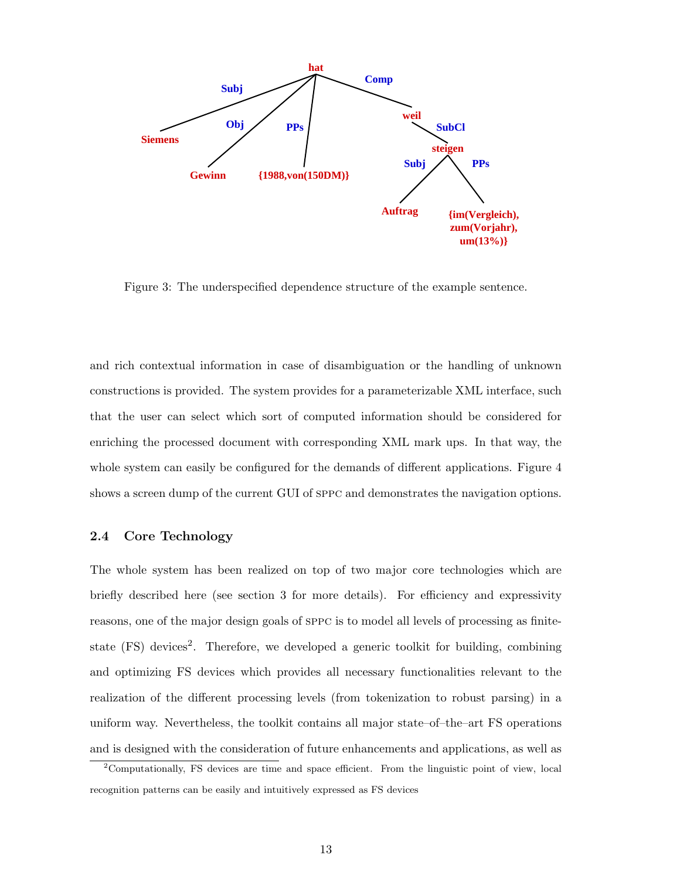

Figure 3: The underspecified dependence structure of the example sentence.

and rich contextual information in case of disambiguation or the handling of unknown constructions is provided. The system provides for a parameterizable XML interface, such that the user can select which sort of computed information should be considered for enriching the processed document with corresponding XML mark ups. In that way, the whole system can easily be configured for the demands of different applications. Figure 4 shows a screen dump of the current GUI of sppc and demonstrates the navigation options.

#### 2.4 Core Technology

The whole system has been realized on top of two major core technologies which are briefly described here (see section 3 for more details). For efficiency and expressivity reasons, one of the major design goals of sppc is to model all levels of processing as finitestate (FS) devices<sup>2</sup>. Therefore, we developed a generic toolkit for building, combining and optimizing FS devices which provides all necessary functionalities relevant to the realization of the different processing levels (from tokenization to robust parsing) in a uniform way. Nevertheless, the toolkit contains all major state–of–the–art FS operations and is designed with the consideration of future enhancements and applications, as well as

<sup>2</sup>Computationally, FS devices are time and space efficient. From the linguistic point of view, local recognition patterns can be easily and intuitively expressed as FS devices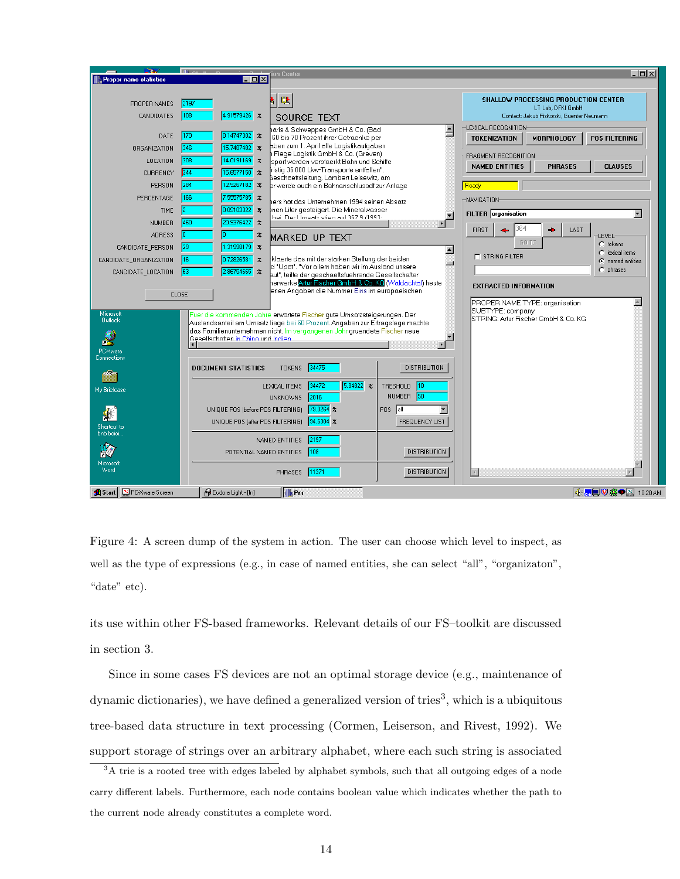| $\blacksquare$ $\blacksquare$ $\times$<br>戰<br>SHALLOW PROCESSING PRODUCTION CENTER<br>PROPER NAMES<br>2197<br>LT Lab, DFKI GmbH<br>4.91579426 %<br><b>CANDIDATES</b><br>108<br>Contact: Jakub Piskorski, Guenter Neumann<br>SOURCE TEXT<br>LEXICAL RECOGNITION<br>$\triangleq$<br>aris & Schweppes GmbH & Co. (Bad<br>8.14747382<br>DATE<br>179<br>$\pmb{\mathcal{Z}}$<br>60 bis 70 Prozent ihrer Getraenke per<br>TOKENIZATION<br><b>MORPHOLOGY</b><br><b>POS FILTERING</b><br>aben zum 1. April alle Logistikaufgaben<br>15.7487482<br>346<br>$\boldsymbol{\chi}$<br><b>ORGANIZATION</b><br>Fiege Logistik GmbH & Co. (Greven)<br>FRAGMENT RECOGNITION<br>14.0191169<br>308<br>LOCATION<br>$\boldsymbol{\mathcal{Z}}$<br>sport werden verstaerkt Bahn und Schiffe<br><b>NAMED ENTITIES</b><br><b>PHRASES</b><br><b>CLAUSES</b><br>ristig 36 000 Lkw-Transporte entfallen",<br>15.6577150<br><b>344</b><br>$\boldsymbol{\chi}$<br><b>CURRENCY</b><br>seschaeftsleitung, Lambert Leisewitz, am<br>284<br>12.9267182<br>PERSON<br>er werde auch ein Bahnanschlussdf zur Anlage<br>$\pmb{\mathcal{Z}}$<br>Ready<br>7.55575785<br>PERCENTAGE<br>166<br>$\boldsymbol{\mathcal{Z}}$<br>NAVIGATION<br>iers hat das Unternehmen 1994 seinen Absatz<br>0.09103322<br>inen Liter gesteigert. Die Mineralwasser<br>$\boldsymbol{\mathcal{Z}}$<br><b>TIME</b><br>12.<br>FILTER organisation<br>$\blacksquare$<br>hei Der Hmsatz stien auf 367.9 (1993:<br>460<br>20.9376422 %<br><b>NUMBER</b><br>$\blacktriangleright$<br>364<br><b>FIRST</b><br>LAST<br>÷<br>$\pmb{\mathcal{Z}}$<br><b>ADRESS</b><br>LEVEL-<br>MARKED UP TEXT<br>GO TO<br>C tokens<br>1.31998179<br>$\boldsymbol{z}$<br>CANDIDATE_PERSON<br>129<br>$\blacktriangle$<br>$\bigcap$ lexical items<br>$\Gamma$ STRING FILTER<br>klaerte das mit der starken Stellung der beiden<br>0.72826581<br>$\boldsymbol{z}$<br>CANDIDATE_ORGANIZATION<br>116<br>C named entities<br>$\equiv$<br>d "Upat". "Vor allem haben wir im Ausland unsere<br>C phrases<br>2.86754665<br>CANDIDATE_LOCATION<br>163<br>$\pmb{\mathcal{Z}}$<br>aut", teilte der geschaeftsfuehrende Gesellschafter<br>herwerke Artur Fischer GmbH & Co. KG (Waldachtal) heute<br>EXTRACTED INFORMATION<br>enen Angaben die Nummer Eins im europaeischen<br>CLOSE<br>PROPER NAME TYPE: organisation<br>SUBTYPE: company<br>Microsoft<br>Fuer die kommenden Jahre erwartete Fischer gute Umsatzsteigerungen. Der<br>STRING: Artur Fischer GmbH & Co. KG<br>Outlook<br>Auslandsanteil am Umsatz liege bei 60 Prozent. Angaben zur Ertragslage machte<br>das Familienunternehmen nicht. Im vergangenen Jahr gruendete Fischer neue<br>Gesellschaften in China und Indien<br>$\blacktriangleright$<br><b>PC-Xware</b><br>Connections<br>DISTRIBUTION<br>34475<br>TOKENS<br><b>DOCUMENT STATISTICS</b><br>34472<br>5.84822 z<br>TRESHOLD 10<br>LEXICAL ITEMS<br>My Briefcase<br>NUMBER 50<br><b>UNKNOWNS</b><br>12016<br>79.0264 %<br>$POS$ all<br>UNIQUE POS (before POS FILTERING)<br>UNIQUE POS (after POS FILTERING) 94.6304 %<br>FREQUENCY LIST<br>Shortcut to<br>bnb bojoj<br>NAMED ENTITIES<br>12197<br>POTENTIAL NAMED ENTITIES 108<br><b>DISTRIBUTION</b><br>Microsoft<br>Word<br>PHRASES<br><b>DISTRIBUTION</b><br>11371<br>$\blacktriangleleft$ | Start   X PC-Xware Screen<br><b>I</b> LPnr<br><b>I → MED Ø ※ ● 区</b> 10:20 AM<br>Eudora Light - [In] | <b>TYRE</b>            | The more | ion Center | $ \Box$ $\times$ |
|--------------------------------------------------------------------------------------------------------------------------------------------------------------------------------------------------------------------------------------------------------------------------------------------------------------------------------------------------------------------------------------------------------------------------------------------------------------------------------------------------------------------------------------------------------------------------------------------------------------------------------------------------------------------------------------------------------------------------------------------------------------------------------------------------------------------------------------------------------------------------------------------------------------------------------------------------------------------------------------------------------------------------------------------------------------------------------------------------------------------------------------------------------------------------------------------------------------------------------------------------------------------------------------------------------------------------------------------------------------------------------------------------------------------------------------------------------------------------------------------------------------------------------------------------------------------------------------------------------------------------------------------------------------------------------------------------------------------------------------------------------------------------------------------------------------------------------------------------------------------------------------------------------------------------------------------------------------------------------------------------------------------------------------------------------------------------------------------------------------------------------------------------------------------------------------------------------------------------------------------------------------------------------------------------------------------------------------------------------------------------------------------------------------------------------------------------------------------------------------------------------------------------------------------------------------------------------------------------------------------------------------------------------------------------------------------------------------------------------------------------------------------------------------------------------------------------------------------------------------------------------------------------------------------------------------------------------------------------------------------------------------------------------------------------------------------------------------------------------------------------------------------------------------------------------------------------------------------------------------------------------------------|------------------------------------------------------------------------------------------------------|------------------------|----------|------------|------------------|
|                                                                                                                                                                                                                                                                                                                                                                                                                                                                                                                                                                                                                                                                                                                                                                                                                                                                                                                                                                                                                                                                                                                                                                                                                                                                                                                                                                                                                                                                                                                                                                                                                                                                                                                                                                                                                                                                                                                                                                                                                                                                                                                                                                                                                                                                                                                                                                                                                                                                                                                                                                                                                                                                                                                                                                                                                                                                                                                                                                                                                                                                                                                                                                                                                                                                    |                                                                                                      | Proper name statistics |          |            |                  |
|                                                                                                                                                                                                                                                                                                                                                                                                                                                                                                                                                                                                                                                                                                                                                                                                                                                                                                                                                                                                                                                                                                                                                                                                                                                                                                                                                                                                                                                                                                                                                                                                                                                                                                                                                                                                                                                                                                                                                                                                                                                                                                                                                                                                                                                                                                                                                                                                                                                                                                                                                                                                                                                                                                                                                                                                                                                                                                                                                                                                                                                                                                                                                                                                                                                                    |                                                                                                      |                        |          |            |                  |
|                                                                                                                                                                                                                                                                                                                                                                                                                                                                                                                                                                                                                                                                                                                                                                                                                                                                                                                                                                                                                                                                                                                                                                                                                                                                                                                                                                                                                                                                                                                                                                                                                                                                                                                                                                                                                                                                                                                                                                                                                                                                                                                                                                                                                                                                                                                                                                                                                                                                                                                                                                                                                                                                                                                                                                                                                                                                                                                                                                                                                                                                                                                                                                                                                                                                    |                                                                                                      |                        |          |            |                  |
|                                                                                                                                                                                                                                                                                                                                                                                                                                                                                                                                                                                                                                                                                                                                                                                                                                                                                                                                                                                                                                                                                                                                                                                                                                                                                                                                                                                                                                                                                                                                                                                                                                                                                                                                                                                                                                                                                                                                                                                                                                                                                                                                                                                                                                                                                                                                                                                                                                                                                                                                                                                                                                                                                                                                                                                                                                                                                                                                                                                                                                                                                                                                                                                                                                                                    |                                                                                                      |                        |          |            |                  |

Figure 4: A screen dump of the system in action. The user can choose which level to inspect, as well as the type of expressions (e.g., in case of named entities, she can select "all", "organizaton", "date" etc).

its use within other FS-based frameworks. Relevant details of our FS–toolkit are discussed in section 3.

Since in some cases FS devices are not an optimal storage device (e.g., maintenance of dynamic dictionaries), we have defined a generalized version of tries<sup>3</sup>, which is a ubiquitous tree-based data structure in text processing (Cormen, Leiserson, and Rivest, 1992). We support storage of strings over an arbitrary alphabet, where each such string is associated

<sup>&</sup>lt;sup>3</sup>A trie is a rooted tree with edges labeled by alphabet symbols, such that all outgoing edges of a node carry different labels. Furthermore, each node contains boolean value which indicates whether the path to the current node already constitutes a complete word.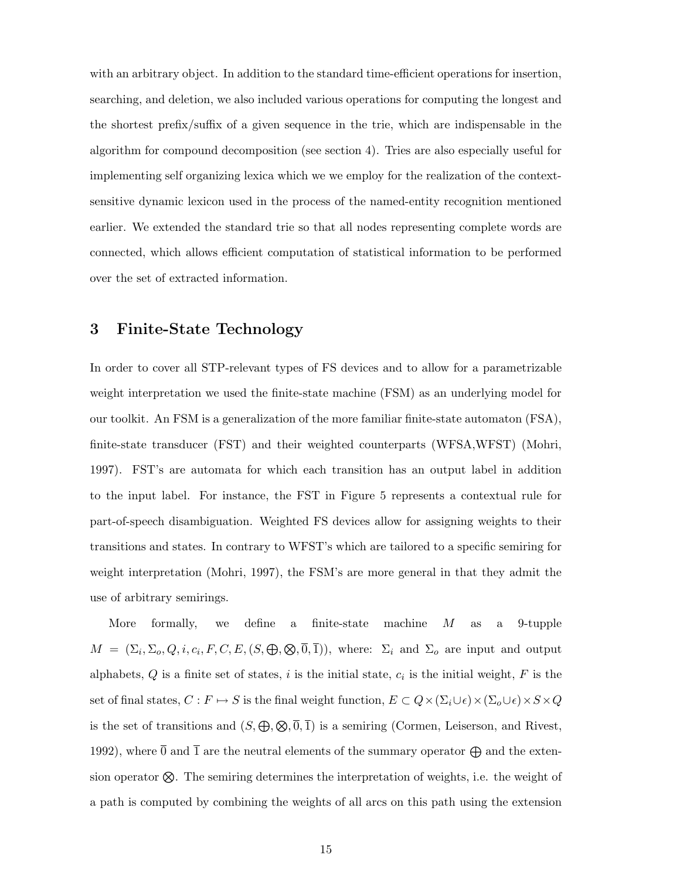with an arbitrary object. In addition to the standard time-efficient operations for insertion, searching, and deletion, we also included various operations for computing the longest and the shortest prefix/suffix of a given sequence in the trie, which are indispensable in the algorithm for compound decomposition (see section 4). Tries are also especially useful for implementing self organizing lexica which we we employ for the realization of the contextsensitive dynamic lexicon used in the process of the named-entity recognition mentioned earlier. We extended the standard trie so that all nodes representing complete words are connected, which allows efficient computation of statistical information to be performed over the set of extracted information.

## 3 Finite-State Technology

In order to cover all STP-relevant types of FS devices and to allow for a parametrizable weight interpretation we used the finite-state machine (FSM) as an underlying model for our toolkit. An FSM is a generalization of the more familiar finite-state automaton (FSA), finite-state transducer (FST) and their weighted counterparts (WFSA,WFST) (Mohri, 1997). FST's are automata for which each transition has an output label in addition to the input label. For instance, the FST in Figure 5 represents a contextual rule for part-of-speech disambiguation. Weighted FS devices allow for assigning weights to their transitions and states. In contrary to WFST's which are tailored to a specific semiring for weight interpretation (Mohri, 1997), the FSM's are more general in that they admit the use of arbitrary semirings.

More formally, we define a finite-state machine M as a 9-tupple  $M = (\Sigma_i, \Sigma_o, Q, i, c_i, F, C, E, (S, \bigoplus, \bigotimes, \overline{0}, \overline{1})),$  where:  $\Sigma_i$  and  $\Sigma_o$  are input and output alphabets,  $Q$  is a finite set of states,  $i$  is the initial state,  $c_i$  is the initial weight,  $F$  is the set of final states,  $C : F \mapsto S$  is the final weight function,  $E \subset Q \times (\Sigma_i \cup \epsilon) \times (\Sigma_o \cup \epsilon) \times S \times Q$ is the set of transitions and  $(S, \bigoplus, \bigotimes, \overline{0}, \overline{1})$  is a semiring (Cormen, Leiserson, and Rivest, 1992), where  $\overline{0}$  and  $\overline{1}$  are the neutral elements of the summary operator  $\bigoplus$  and the extension operator  $\otimes$ . The semiring determines the interpretation of weights, i.e. the weight of a path is computed by combining the weights of all arcs on this path using the extension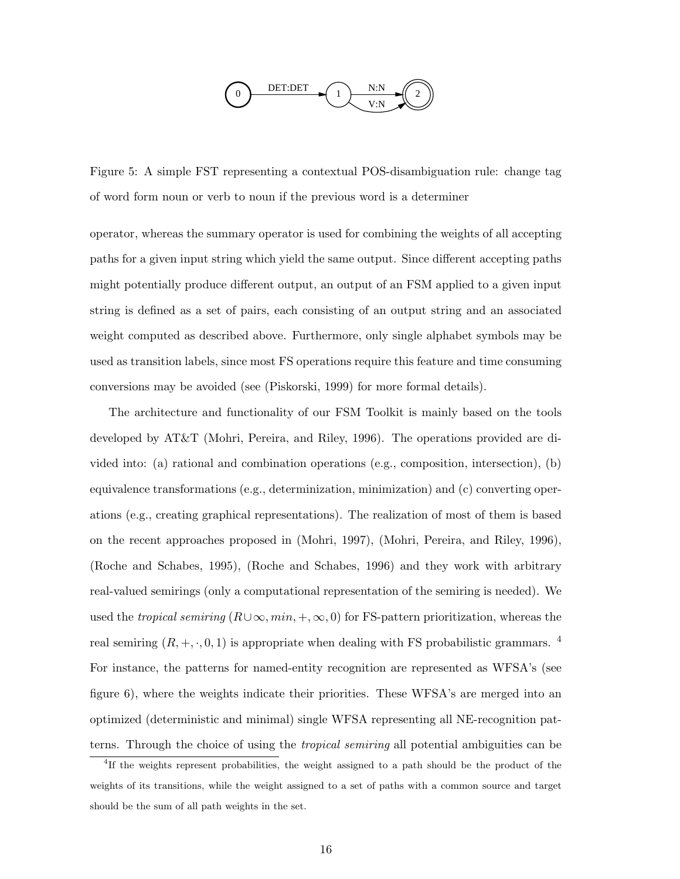

Figure 5: A simple FST representing a contextual POS-disambiguation rule: change tag of word form noun or verb to noun if the previous word is a determiner

operator, whereas the summary operator is used for combining the weights of all accepting paths for a given input string which yield the same output. Since different accepting paths might potentially produce different output, an output of an FSM applied to a given input string is defined as a set of pairs, each consisting of an output string and an associated weight computed as described above. Furthermore, only single alphabet symbols may be used as transition labels, since most FS operations require this feature and time consuming conversions may be avoided (see (Piskorski, 1999) for more formal details).

The architecture and functionality of our FSM Toolkit is mainly based on the tools developed by AT&T (Mohri, Pereira, and Riley, 1996). The operations provided are divided into: (a) rational and combination operations (e.g., composition, intersection), (b) equivalence transformations (e.g., determinization, minimization) and (c) converting operations (e.g., creating graphical representations). The realization of most of them is based on the recent approaches proposed in (Mohri, 1997), (Mohri, Pereira, and Riley, 1996), (Roche and Schabes, 1995), (Roche and Schabes, 1996) and they work with arbitrary real-valued semirings (only a computational representation of the semiring is needed). We used the tropical semiring  $(R\cup\infty, min, +, \infty, 0)$  for FS-pattern prioritization, whereas the real semiring  $(R, +, \cdot, 0, 1)$  is appropriate when dealing with FS probabilistic grammars.<sup>4</sup> For instance, the patterns for named-entity recognition are represented as WFSA's (see figure 6), where the weights indicate their priorities. These WFSA's are merged into an optimized (deterministic and minimal) single WFSA representing all NE-recognition patterns. Through the choice of using the tropical semiring all potential ambiguities can be

<sup>&</sup>lt;sup>4</sup>If the weights represent probabilities, the weight assigned to a path should be the product of the weights of its transitions, while the weight assigned to a set of paths with a common source and target should be the sum of all path weights in the set.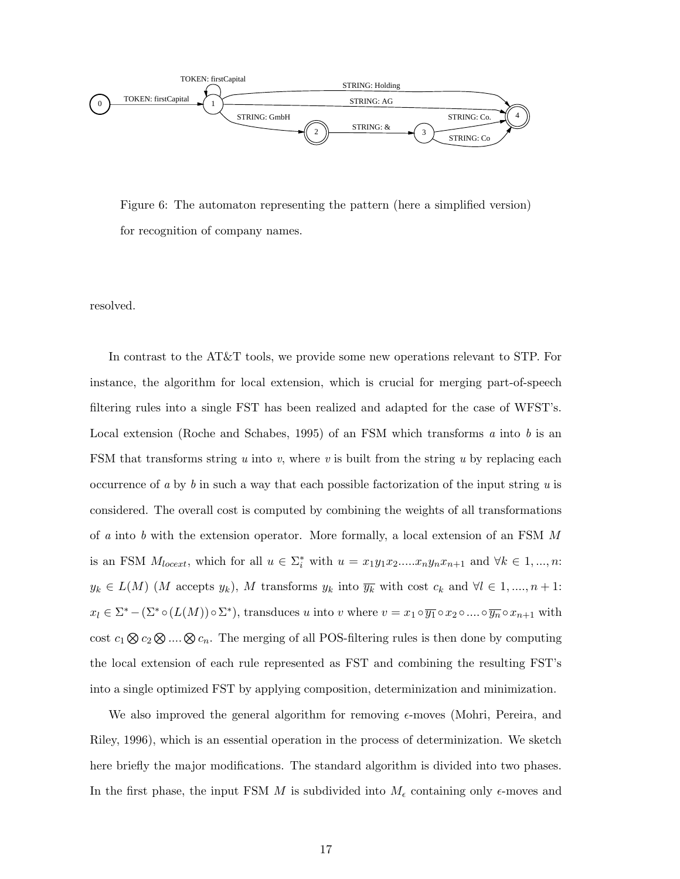

Figure 6: The automaton representing the pattern (here a simplified version) for recognition of company names.

resolved.

In contrast to the AT&T tools, we provide some new operations relevant to STP. For instance, the algorithm for local extension, which is crucial for merging part-of-speech filtering rules into a single FST has been realized and adapted for the case of WFST's. Local extension (Roche and Schabes, 1995) of an FSM which transforms  $a$  into  $b$  is an FSM that transforms string u into v, where v is built from the string u by replacing each occurrence of a by b in such a way that each possible factorization of the input string u is considered. The overall cost is computed by combining the weights of all transformations of a into b with the extension operator. More formally, a local extension of an FSM M is an FSM  $M_{locext}$ , which for all  $u \in \Sigma_i^*$  with  $u = x_1y_1x_2.....x_ny_nx_{n+1}$  and  $\forall k \in 1, ..., n$ :  $y_k \in L(M)$  (M accepts  $y_k$ ), M transforms  $y_k$  into  $\overline{y_k}$  with cost  $c_k$  and  $\forall l \in 1, ..., n+1$ :  $x_l \in \Sigma^* - (\Sigma^* \circ (L(M)) \circ \Sigma^*)$ , transduces u into v where  $v = x_1 \circ \overline{y_1} \circ x_2 \circ \dots \circ \overline{y_n} \circ x_{n+1}$  with cost  $c_1 \otimes c_2 \otimes \ldots \otimes c_n$ . The merging of all POS-filtering rules is then done by computing the local extension of each rule represented as FST and combining the resulting FST's into a single optimized FST by applying composition, determinization and minimization.

We also improved the general algorithm for removing  $\epsilon$ -moves (Mohri, Pereira, and Riley, 1996), which is an essential operation in the process of determinization. We sketch here briefly the major modifications. The standard algorithm is divided into two phases. In the first phase, the input FSM M is subdivided into  $M_{\epsilon}$  containing only  $\epsilon$ -moves and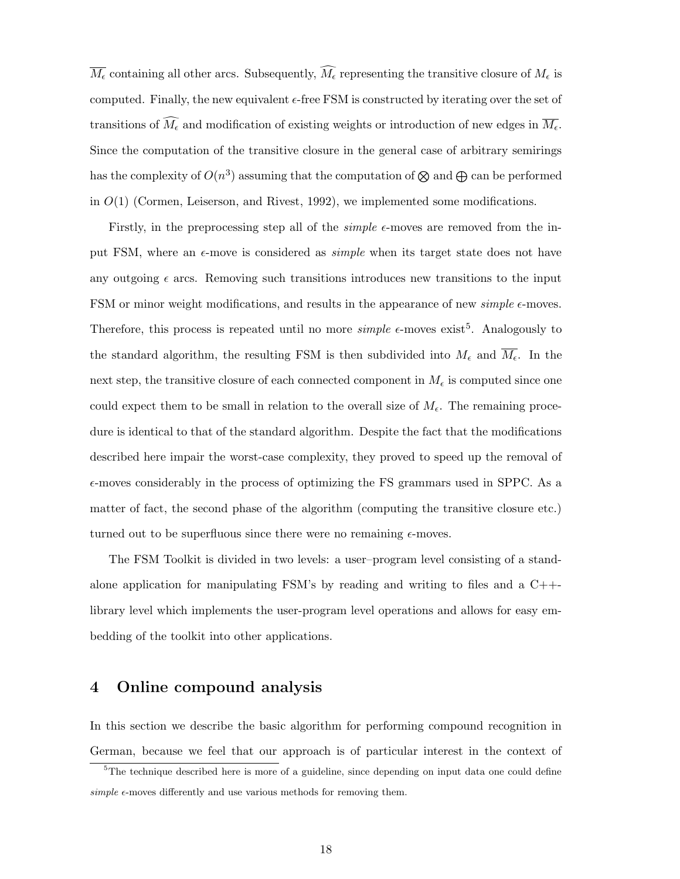$\overline{M_{\epsilon}}$  containing all other arcs. Subsequently,  $\widehat{M_{\epsilon}}$  representing the transitive closure of  $M_{\epsilon}$  is computed. Finally, the new equivalent  $\epsilon$ -free FSM is constructed by iterating over the set of transitions of  $\widehat{M_{\epsilon}}$  and modification of existing weights or introduction of new edges in  $\overline{M_{\epsilon}}$ . Since the computation of the transitive closure in the general case of arbitrary semirings has the complexity of  $O(n^3)$  assuming that the computation of  $\otimes$  and  $\bigoplus$  can be performed in  $O(1)$  (Cormen, Leiserson, and Rivest, 1992), we implemented some modifications.

Firstly, in the preprocessing step all of the *simple*  $\epsilon$ -moves are removed from the input FSM, where an  $\epsilon$ -move is considered as *simple* when its target state does not have any outgoing  $\epsilon$  arcs. Removing such transitions introduces new transitions to the input FSM or minor weight modifications, and results in the appearance of new simple  $\epsilon$ -moves. Therefore, this process is repeated until no more *simple*  $\epsilon$ -moves exist<sup>5</sup>. Analogously to the standard algorithm, the resulting FSM is then subdivided into  $M_{\epsilon}$  and  $\overline{M_{\epsilon}}$ . In the next step, the transitive closure of each connected component in  $M_{\epsilon}$  is computed since one could expect them to be small in relation to the overall size of  $M_{\epsilon}$ . The remaining procedure is identical to that of the standard algorithm. Despite the fact that the modifications described here impair the worst-case complexity, they proved to speed up the removal of  $\epsilon$ -moves considerably in the process of optimizing the FS grammars used in SPPC. As a matter of fact, the second phase of the algorithm (computing the transitive closure etc.) turned out to be superfluous since there were no remaining  $\epsilon$ -moves.

The FSM Toolkit is divided in two levels: a user–program level consisting of a standalone application for manipulating FSM's by reading and writing to files and a C++ library level which implements the user-program level operations and allows for easy embedding of the toolkit into other applications.

#### 4 Online compound analysis

In this section we describe the basic algorithm for performing compound recognition in German, because we feel that our approach is of particular interest in the context of

<sup>&</sup>lt;sup>5</sup>The technique described here is more of a guideline, since depending on input data one could define  $simple \varepsilon$ -moves differently and use various methods for removing them.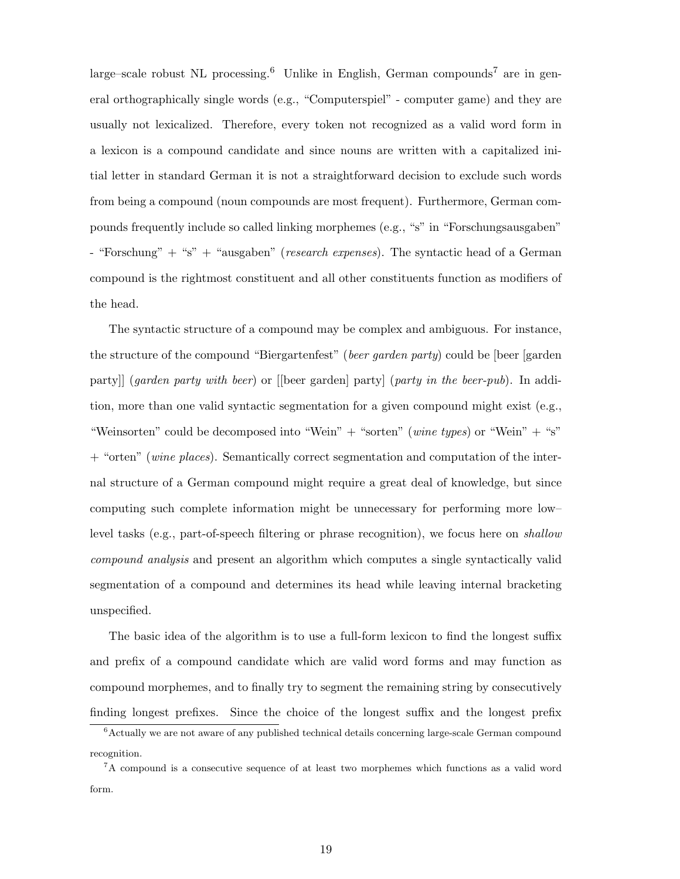large–scale robust NL processing.<sup>6</sup> Unlike in English, German compounds<sup>7</sup> are in general orthographically single words (e.g., "Computerspiel" - computer game) and they are usually not lexicalized. Therefore, every token not recognized as a valid word form in a lexicon is a compound candidate and since nouns are written with a capitalized initial letter in standard German it is not a straightforward decision to exclude such words from being a compound (noun compounds are most frequent). Furthermore, German compounds frequently include so called linking morphemes (e.g., "s" in "Forschungsausgaben" - "Forschung" + "s" + "ausgaben" (research expenses). The syntactic head of a German compound is the rightmost constituent and all other constituents function as modifiers of the head.

The syntactic structure of a compound may be complex and ambiguous. For instance, the structure of the compound "Biergartenfest" (beer garden party) could be [beer [garden] party]] (garden party with beer) or [[beer garden] party] (party in the beer-pub). In addition, more than one valid syntactic segmentation for a given compound might exist (e.g., "Weinsorten" could be decomposed into "Wein" + "sorten" (*wine types*) or "Wein" + "s" + "orten" (wine places). Semantically correct segmentation and computation of the internal structure of a German compound might require a great deal of knowledge, but since computing such complete information might be unnecessary for performing more low– level tasks (e.g., part-of-speech filtering or phrase recognition), we focus here on shallow compound analysis and present an algorithm which computes a single syntactically valid segmentation of a compound and determines its head while leaving internal bracketing unspecified.

The basic idea of the algorithm is to use a full-form lexicon to find the longest suffix and prefix of a compound candidate which are valid word forms and may function as compound morphemes, and to finally try to segment the remaining string by consecutively finding longest prefixes. Since the choice of the longest suffix and the longest prefix

 $6$ Actually we are not aware of any published technical details concerning large-scale German compound recognition.

 ${}^{7}$ A compound is a consecutive sequence of at least two morphemes which functions as a valid word form.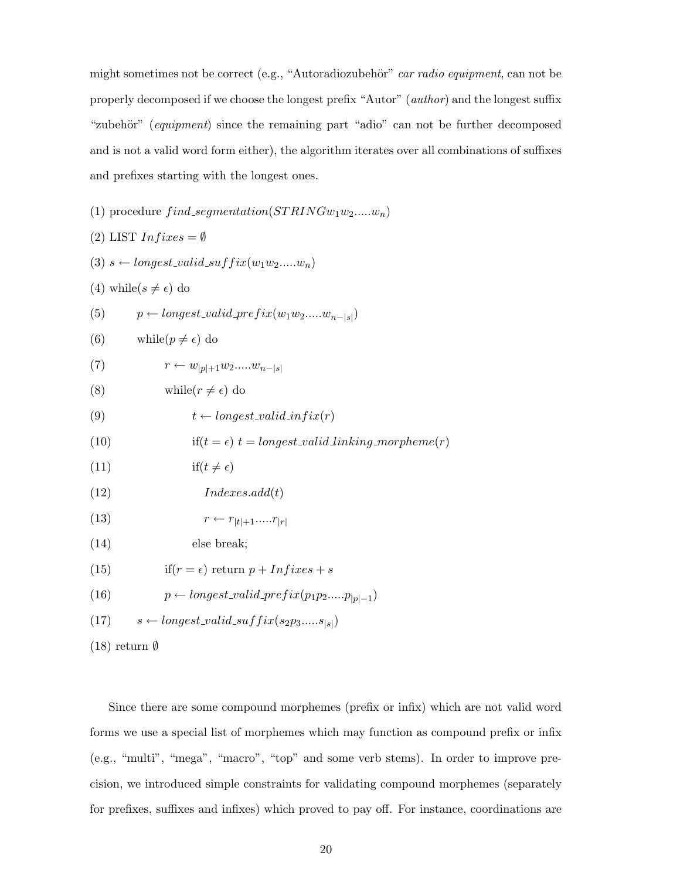might sometimes not be correct (e.g., "Autoradiozubehör" car radio equipment, can not be properly decomposed if we choose the longest prefix "Autor" (author) and the longest suffix "zubehör" (equipment) since the remaining part "adio" can not be further decomposed and is not a valid word form either), the algorithm iterates over all combinations of suffixes and prefixes starting with the longest ones.

(1) procedure find segmentation( $STRINGw_1w_2.....w_n$ )

- (2) LIST  $Infixes = \emptyset$
- (3)  $s \leftarrow longest\_valid\_suffix(w_1w_2.....w_n)$
- (4) while( $s \neq \epsilon$ ) do

(5)  $p \leftarrow longest\_valid\_prefix(w_1w_2.....w_{n-|s|})$ 

(6) while( $p \neq \epsilon$ ) do

$$
(7) \qquad \qquad r \leftarrow w_{|p|+1} w_2 \dots w_{n-|s|}
$$

$$
(8) \t\t\t\twhile (r \neq \epsilon) \text{ do}
$$

$$
(9) \t t \leftarrow longest\_valid\_infix(r)
$$

- (10)  $if(t = \epsilon) t = longest\_valid\_linking\_morpheme(r)$
- (11) if  $(t \neq \epsilon)$

$$
(12) \tIndexes.add(t)
$$

- (13)  $r \leftarrow r_{|t|+1}.....r_{|r|}$
- (14) else break;

(15) if
$$
(r = \epsilon)
$$
 return  $p + Infixes + s$ 

(16) 
$$
p \leftarrow longest\_valid\_prefix(p_1p_2....p_{|p|-1})
$$

(17) 
$$
s \leftarrow longest\_valid\_suffix(s_2p_3.....s_{|s|})
$$

 $(18)$  return  $\emptyset$ 

Since there are some compound morphemes (prefix or infix) which are not valid word forms we use a special list of morphemes which may function as compound prefix or infix (e.g., "multi", "mega", "macro", "top" and some verb stems). In order to improve precision, we introduced simple constraints for validating compound morphemes (separately for prefixes, suffixes and infixes) which proved to pay off. For instance, coordinations are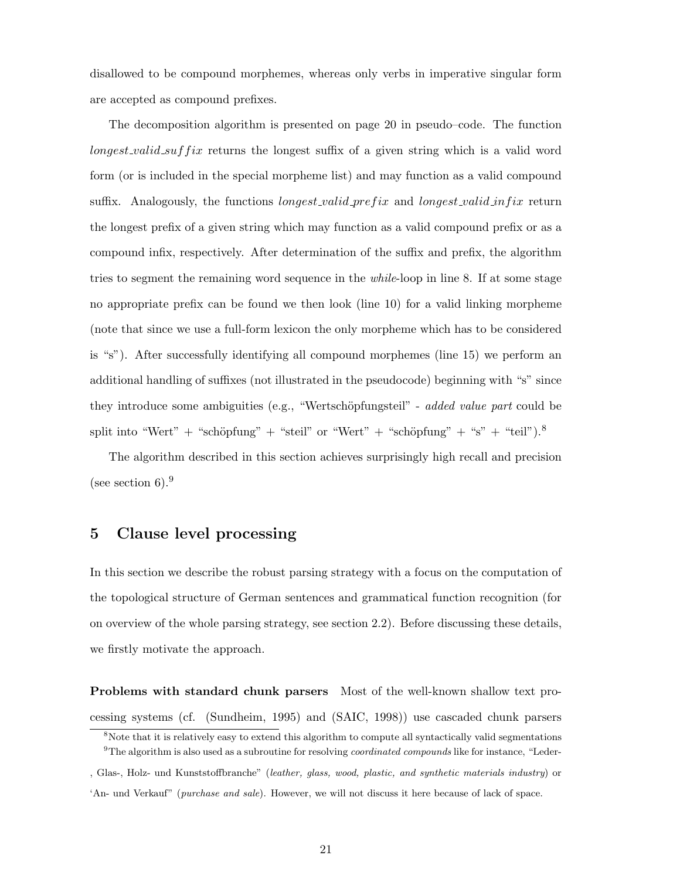disallowed to be compound morphemes, whereas only verbs in imperative singular form are accepted as compound prefixes.

The decomposition algorithm is presented on page 20 in pseudo–code. The function longest valid suffix returns the longest suffix of a given string which is a valid word form (or is included in the special morpheme list) and may function as a valid compound suffix. Analogously, the functions *longest valid prefix* and *longest valid infix* return the longest prefix of a given string which may function as a valid compound prefix or as a compound infix, respectively. After determination of the suffix and prefix, the algorithm tries to segment the remaining word sequence in the while-loop in line 8. If at some stage no appropriate prefix can be found we then look (line 10) for a valid linking morpheme (note that since we use a full-form lexicon the only morpheme which has to be considered is "s"). After successfully identifying all compound morphemes (line 15) we perform an additional handling of suffixes (not illustrated in the pseudocode) beginning with "s" since they introduce some ambiguities (e.g., "Wertschöpfungsteil" - added value part could be split into "Wert" + "schöpfung" + "steil" or "Wert" + "schöpfung" + "s" + "teil").<sup>8</sup>

The algorithm described in this section achieves surprisingly high recall and precision (see section 6).<sup>9</sup>

## 5 Clause level processing

In this section we describe the robust parsing strategy with a focus on the computation of the topological structure of German sentences and grammatical function recognition (for on overview of the whole parsing strategy, see section 2.2). Before discussing these details, we firstly motivate the approach.

Problems with standard chunk parsers Most of the well-known shallow text processing systems (cf. (Sundheim, 1995) and (SAIC, 1998)) use cascaded chunk parsers

<sup>&</sup>lt;sup>8</sup>Note that it is relatively easy to extend this algorithm to compute all syntactically valid segmentations  $9$ The algorithm is also used as a subroutine for resolving *coordinated compounds* like for instance, "Leder-

<sup>,</sup> Glas-, Holz- und Kunststoffbranche" (leather, glass, wood, plastic, and synthetic materials industry) or 'An- und Verkauf" (purchase and sale). However, we will not discuss it here because of lack of space.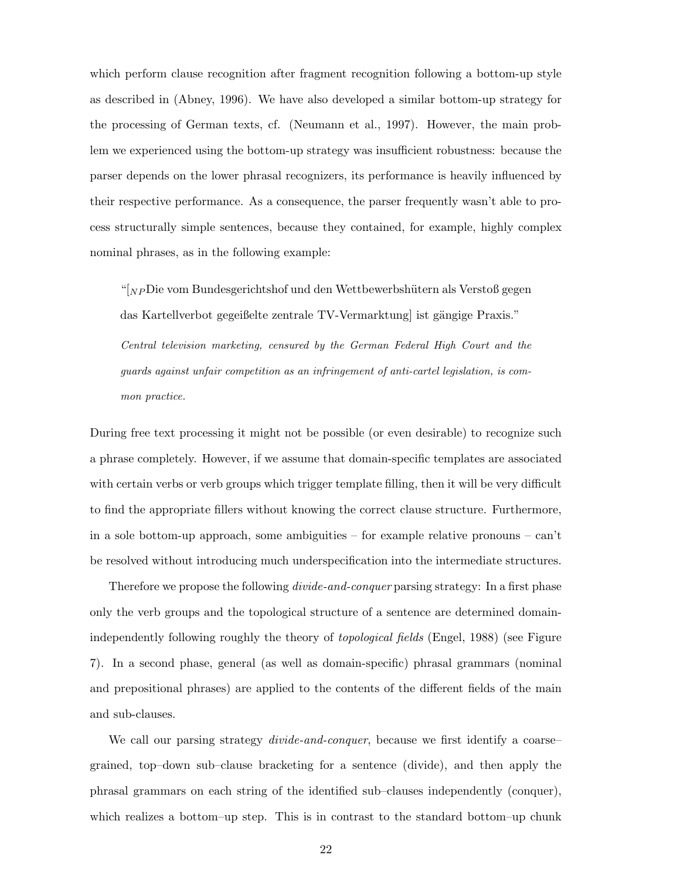which perform clause recognition after fragment recognition following a bottom-up style as described in (Abney, 1996). We have also developed a similar bottom-up strategy for the processing of German texts, cf. (Neumann et al., 1997). However, the main problem we experienced using the bottom-up strategy was insufficient robustness: because the parser depends on the lower phrasal recognizers, its performance is heavily influenced by their respective performance. As a consequence, the parser frequently wasn't able to process structurally simple sentences, because they contained, for example, highly complex nominal phrases, as in the following example:

" $N_{NP}$ Die vom Bundesgerichtshof und den Wettbewerbshütern als Verstoß gegen das Kartellverbot gegeißelte zentrale TV-Vermarktung ist gängige Praxis." Central television marketing, censured by the German Federal High Court and the guards against unfair competition as an infringement of anti-cartel legislation, is common practice.

During free text processing it might not be possible (or even desirable) to recognize such a phrase completely. However, if we assume that domain-specific templates are associated with certain verbs or verb groups which trigger template filling, then it will be very difficult to find the appropriate fillers without knowing the correct clause structure. Furthermore, in a sole bottom-up approach, some ambiguities – for example relative pronouns – can't be resolved without introducing much underspecification into the intermediate structures.

Therefore we propose the following divide-and-conquer parsing strategy: In a first phase only the verb groups and the topological structure of a sentence are determined domainindependently following roughly the theory of topological fields (Engel, 1988) (see Figure 7). In a second phase, general (as well as domain-specific) phrasal grammars (nominal and prepositional phrases) are applied to the contents of the different fields of the main and sub-clauses.

We call our parsing strategy *divide-and-conquer*, because we first identify a coarsegrained, top–down sub–clause bracketing for a sentence (divide), and then apply the phrasal grammars on each string of the identified sub–clauses independently (conquer), which realizes a bottom–up step. This is in contrast to the standard bottom–up chunk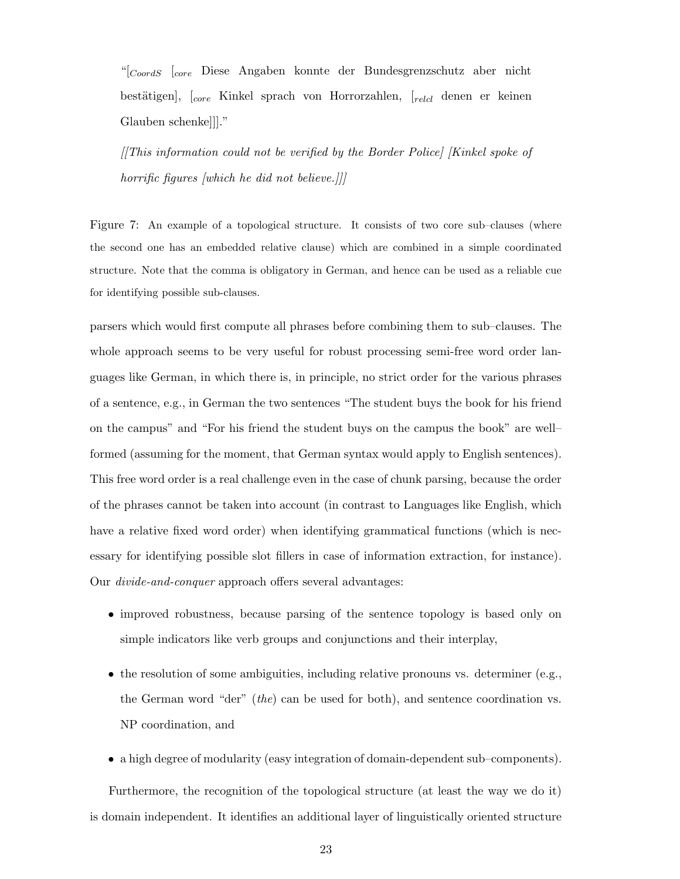"[CoordS [core Diese Angaben konnte der Bundesgrenzschutz aber nicht bestätigen],  $[<sub>core</sub>$  Kinkel sprach von Horrorzahlen,  $[<sub>relcl</sub>$  denen er keinen Glauben schenke]]]."

[[This information could not be verified by the Border Police] [Kinkel spoke of horrific figures [which he did not believe.]]]

Figure 7: An example of a topological structure. It consists of two core sub–clauses (where the second one has an embedded relative clause) which are combined in a simple coordinated structure. Note that the comma is obligatory in German, and hence can be used as a reliable cue for identifying possible sub-clauses.

parsers which would first compute all phrases before combining them to sub–clauses. The whole approach seems to be very useful for robust processing semi-free word order languages like German, in which there is, in principle, no strict order for the various phrases of a sentence, e.g., in German the two sentences "The student buys the book for his friend on the campus" and "For his friend the student buys on the campus the book" are well– formed (assuming for the moment, that German syntax would apply to English sentences). This free word order is a real challenge even in the case of chunk parsing, because the order of the phrases cannot be taken into account (in contrast to Languages like English, which have a relative fixed word order) when identifying grammatical functions (which is necessary for identifying possible slot fillers in case of information extraction, for instance). Our *divide-and-conquer* approach offers several advantages:

- improved robustness, because parsing of the sentence topology is based only on simple indicators like verb groups and conjunctions and their interplay,
- the resolution of some ambiguities, including relative pronouns vs. determiner (e.g., the German word "der" (the) can be used for both), and sentence coordination vs. NP coordination, and
- a high degree of modularity (easy integration of domain-dependent sub–components).

Furthermore, the recognition of the topological structure (at least the way we do it) is domain independent. It identifies an additional layer of linguistically oriented structure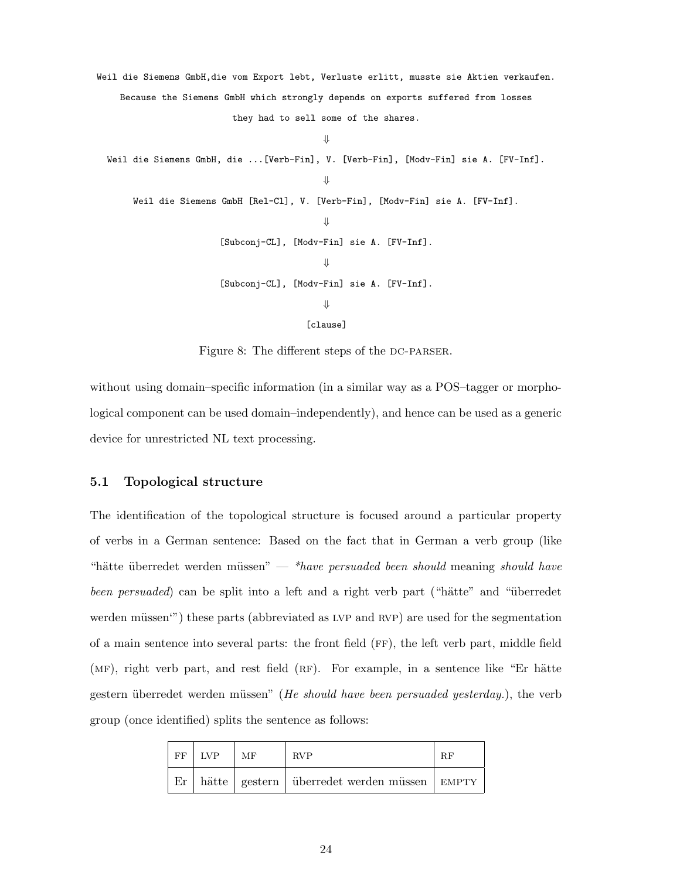Weil die Siemens GmbH,die vom Export lebt, Verluste erlitt, musste sie Aktien verkaufen. Because the Siemens GmbH which strongly depends on exports suffered from losses they had to sell some of the shares. ⇓ Weil die Siemens GmbH, die ...[Verb-Fin], V. [Verb-Fin], [Modv-Fin] sie A. [FV-Inf]. ⇓ Weil die Siemens GmbH [Rel-Cl], V. [Verb-Fin], [Modv-Fin] sie A. [FV-Inf]. ⇓ [Subconj-CL], [Modv-Fin] sie A. [FV-Inf]. ⇓ [Subconj-CL], [Modv-Fin] sie A. [FV-Inf]. ⇓ [clause]

Figure 8: The different steps of the DC-PARSER.

without using domain–specific information (in a similar way as a POS–tagger or morphological component can be used domain–independently), and hence can be used as a generic device for unrestricted NL text processing.

#### 5.1 Topological structure

The identification of the topological structure is focused around a particular property of verbs in a German sentence: Based on the fact that in German a verb group (like "hätte überredet werden müssen" — \*have persuaded been should meaning should have been persuaded) can be split into a left and a right verb part ("hätte" and "überredet" werden müssen $\degree$ ) these parts (abbreviated as LVP and RVP) are used for the segmentation of a main sentence into several parts: the front field (FF), the left verb part, middle field  $(MF)$ , right verb part, and rest field  $(RF)$ . For example, in a sentence like "Er hätte gestern überredet werden müssen" (He should have been persuaded yesterday.), the verb group (once identified) splits the sentence as follows:

| $\rm FF$ | LVP | MF | <b>RVP</b>                                             | -RF |
|----------|-----|----|--------------------------------------------------------|-----|
|          |     |    | Er   hätte   gestern   überredet werden müssen   EMPTY |     |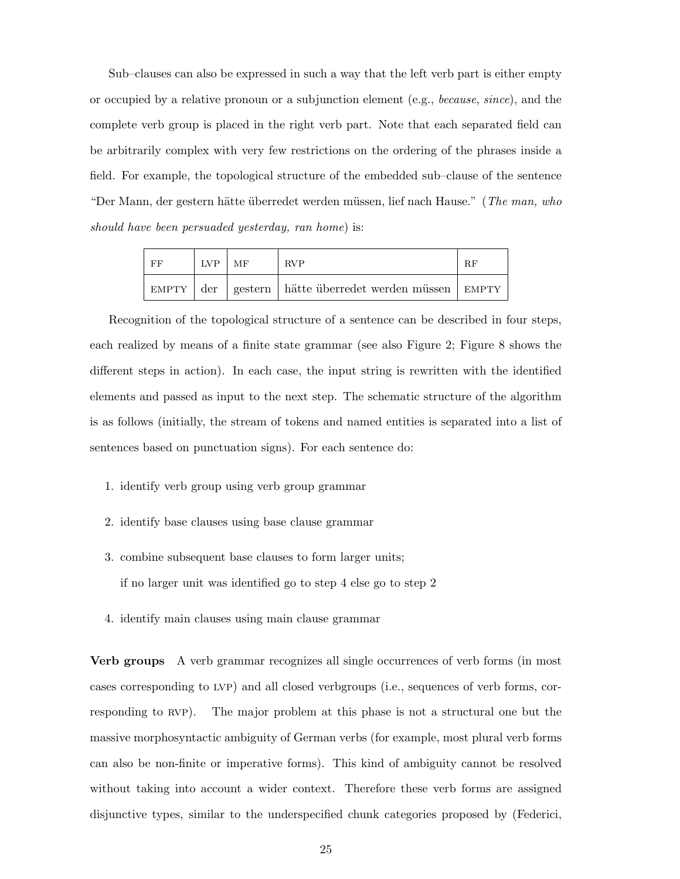Sub–clauses can also be expressed in such a way that the left verb part is either empty or occupied by a relative pronoun or a subjunction element (e.g., because, since), and the complete verb group is placed in the right verb part. Note that each separated field can be arbitrarily complex with very few restrictions on the ordering of the phrases inside a field. For example, the topological structure of the embedded sub–clause of the sentence "Der Mann, der gestern hätte überredet werden müssen, lief nach Hause." (The man, who should have been persuaded yesterday, ran home) is:

| FF | UVP 7 | MF | <b>RVP</b>                                            | <b>RF</b> |
|----|-------|----|-------------------------------------------------------|-----------|
|    |       |    | EMPTY der gestern hätte überredet werden müssen EMPTY |           |

Recognition of the topological structure of a sentence can be described in four steps, each realized by means of a finite state grammar (see also Figure 2; Figure 8 shows the different steps in action). In each case, the input string is rewritten with the identified elements and passed as input to the next step. The schematic structure of the algorithm is as follows (initially, the stream of tokens and named entities is separated into a list of sentences based on punctuation signs). For each sentence do:

- 1. identify verb group using verb group grammar
- 2. identify base clauses using base clause grammar
- 3. combine subsequent base clauses to form larger units; if no larger unit was identified go to step 4 else go to step 2
- 4. identify main clauses using main clause grammar

Verb groups A verb grammar recognizes all single occurrences of verb forms (in most cases corresponding to lvp) and all closed verbgroups (i.e., sequences of verb forms, corresponding to RVP). The major problem at this phase is not a structural one but the massive morphosyntactic ambiguity of German verbs (for example, most plural verb forms can also be non-finite or imperative forms). This kind of ambiguity cannot be resolved without taking into account a wider context. Therefore these verb forms are assigned disjunctive types, similar to the underspecified chunk categories proposed by (Federici,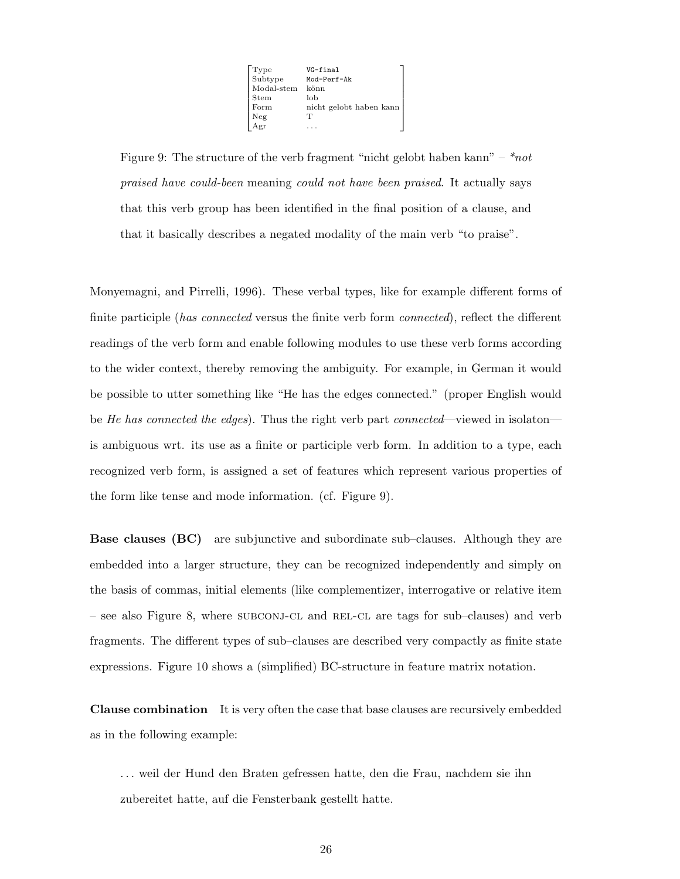| Type                              | VG-final                |
|-----------------------------------|-------------------------|
| Subtype                           | Mod-Perf-Ak             |
| $\mathop{\rm Mod}\nolimits$ -stem | könn                    |
| Stem                              | lob                     |
| Form                              | nicht gelobt haben kann |
| Neg<br>Agr                        |                         |
|                                   |                         |

Figure 9: The structure of the verb fragment "nicht gelobt haben kann" –  $*_{not}$ praised have could-been meaning could not have been praised. It actually says that this verb group has been identified in the final position of a clause, and that it basically describes a negated modality of the main verb "to praise".

Monyemagni, and Pirrelli, 1996). These verbal types, like for example different forms of finite participle (has connected versus the finite verb form connected), reflect the different readings of the verb form and enable following modules to use these verb forms according to the wider context, thereby removing the ambiguity. For example, in German it would be possible to utter something like "He has the edges connected." (proper English would be He has connected the edges). Thus the right verb part connected—viewed in isolaton is ambiguous wrt. its use as a finite or participle verb form. In addition to a type, each recognized verb form, is assigned a set of features which represent various properties of the form like tense and mode information. (cf. Figure 9).

Base clauses (BC) are subjunctive and subordinate sub–clauses. Although they are embedded into a larger structure, they can be recognized independently and simply on the basis of commas, initial elements (like complementizer, interrogative or relative item – see also Figure 8, where subconj-cl and rel-cl are tags for sub–clauses) and verb fragments. The different types of sub–clauses are described very compactly as finite state expressions. Figure 10 shows a (simplified) BC-structure in feature matrix notation.

Clause combination It is very often the case that base clauses are recursively embedded as in the following example:

. . . weil der Hund den Braten gefressen hatte, den die Frau, nachdem sie ihn zubereitet hatte, auf die Fensterbank gestellt hatte.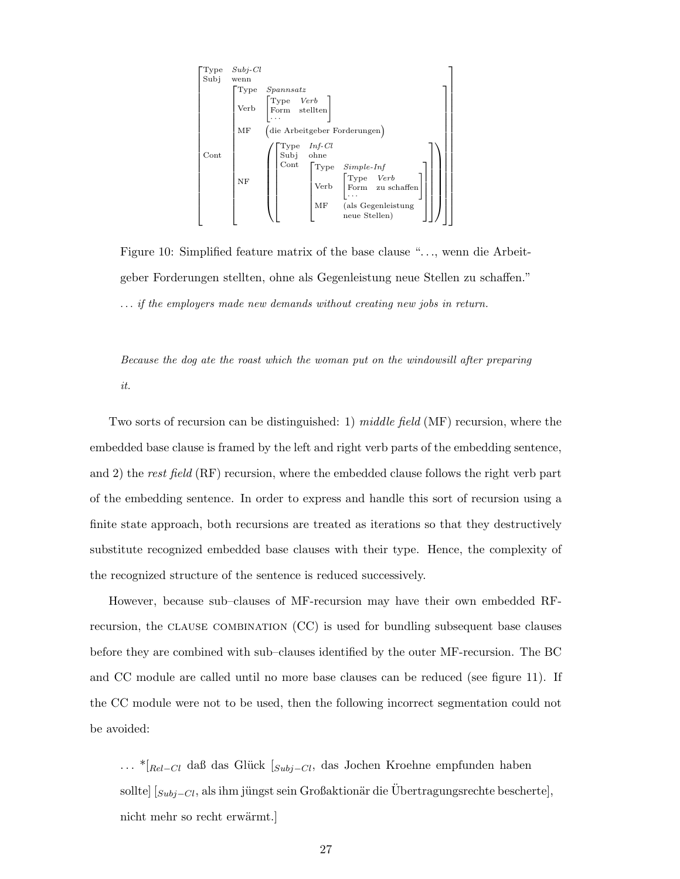

Figure 10: Simplified feature matrix of the base clause ". . ., wenn die Arbeitgeber Forderungen stellten, ohne als Gegenleistung neue Stellen zu schaffen." . . . if the employers made new demands without creating new jobs in return.

Because the dog ate the roast which the woman put on the windowsill after preparing it.

Two sorts of recursion can be distinguished: 1) middle field (MF) recursion, where the embedded base clause is framed by the left and right verb parts of the embedding sentence, and 2) the rest field (RF) recursion, where the embedded clause follows the right verb part of the embedding sentence. In order to express and handle this sort of recursion using a finite state approach, both recursions are treated as iterations so that they destructively substitute recognized embedded base clauses with their type. Hence, the complexity of the recognized structure of the sentence is reduced successively.

However, because sub–clauses of MF-recursion may have their own embedded RFrecursion, the clause combination (CC) is used for bundling subsequent base clauses before they are combined with sub–clauses identified by the outer MF-recursion. The BC and CC module are called until no more base clauses can be reduced (see figure 11). If the CC module were not to be used, then the following incorrect segmentation could not be avoided:

... <sup>\*</sup>[Rel–Cl daß das Glück [Subj–Cl, das Jochen Kroehne empfunden haben sollte]  $[s_{ubj-Cl},$  als ihm jüngst sein Großaktionär die Übertragungsrechte bescherte], nicht mehr so recht erwärmt.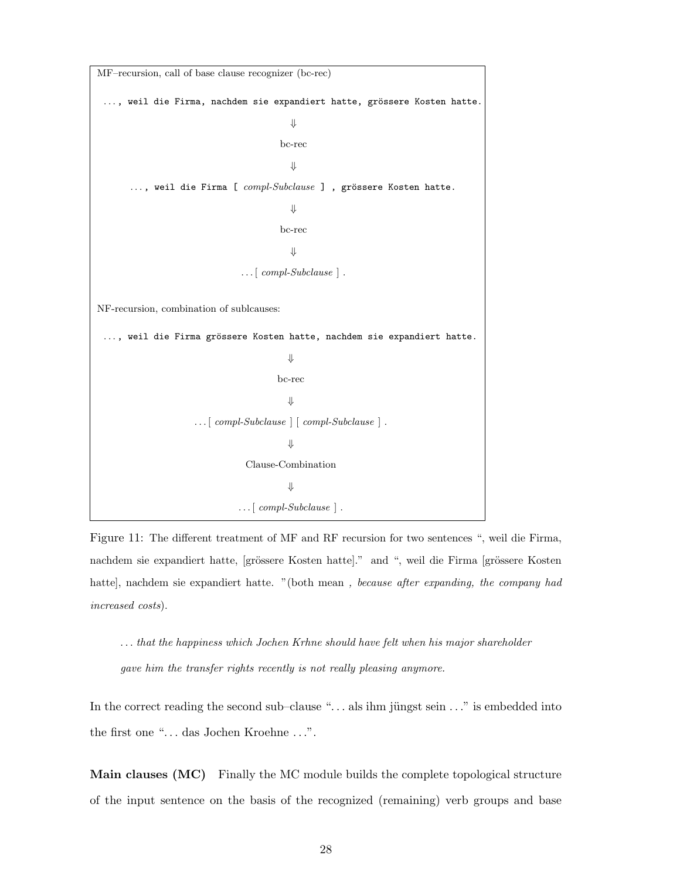```
MF–recursion, call of base clause recognizer (bc-rec)
 ..., weil die Firma, nachdem sie expandiert hatte, grössere Kosten hatte.
                                          ⇓
                                       bc-rec
                                          ⇓
       ..., weil die Firma [ compl-Subclause ] , grössere Kosten hatte.
                                          ⇓
                                       bc-rec
                                          ⇓
                               \ldots [ compl-Subclause ].
NF-recursion, combination of sublcauses:
 ..., weil die Firma grössere Kosten hatte, nachdem sie expandiert hatte.
                                         ⇓
                                       bc-rec
                                         ⇓
                     . . . [ compl-Subclause ] [ compl-Subclause ] .
                                         ⇓
                                Clause-Combination
                                         ⇓
                              \ldots [ compl-Subclause ] .
```
Figure 11: The different treatment of MF and RF recursion for two sentences ", weil die Firma, nachdem sie expandiert hatte, [grössere Kosten hatte]." and ", weil die Firma [grössere Kosten hatte], nachdem sie expandiert hatte. "(both mean, because after expanding, the company had increased costs).

... that the happiness which Jochen Krhne should have felt when his major shareholder gave him the transfer rights recently is not really pleasing anymore.

In the correct reading the second sub–clause " $\dots$  als ihm jüngst sein  $\dots$ " is embedded into the first one " $\dots$  das Jochen Kroehne  $\dots$ ".

Main clauses (MC) Finally the MC module builds the complete topological structure of the input sentence on the basis of the recognized (remaining) verb groups and base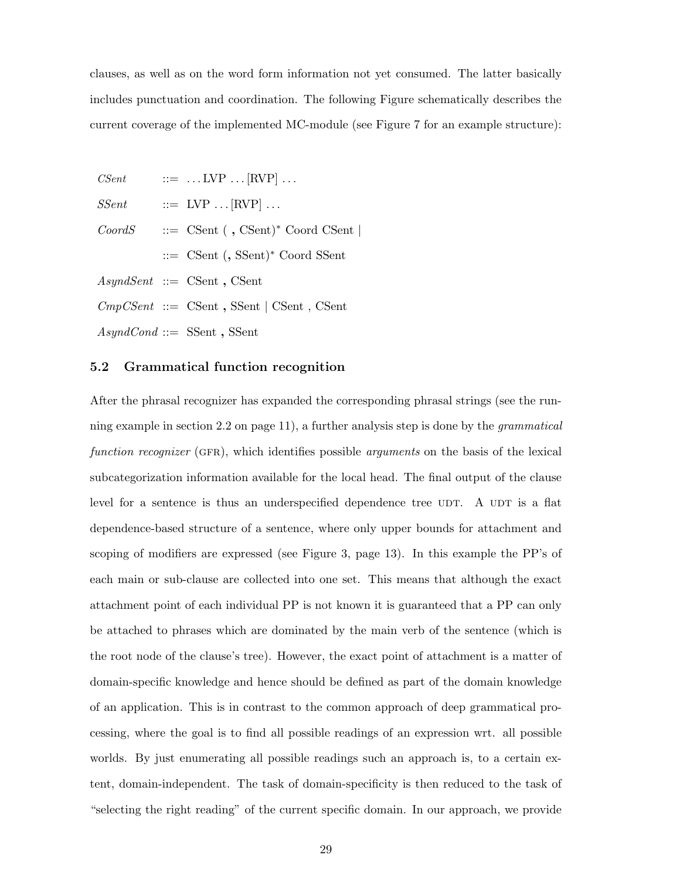clauses, as well as on the word form information not yet consumed. The latter basically includes punctuation and coordination. The following Figure schematically describes the current coverage of the implemented MC-module (see Figure 7 for an example structure):

| CSent        | $ ::= LVP  [RVP] $                         |
|--------------|--------------------------------------------|
| <i>SSent</i> | $ ::=$ LVP $\ldots$ [RVP] $\ldots$         |
| CoordS       | $\therefore$ CSent (, CSent)* Coord CSent  |
|              | $\therefore$ CSent (, SSent)* Coord SSent  |
|              | $AsyndSent ::= \text{CSent}, \text{CSent}$ |
|              | $CmpCSent$ ::= CSent, SSent   CSent, CSent |
|              | $AsyndCond ::=$ SSent, SSent               |

#### 5.2 Grammatical function recognition

After the phrasal recognizer has expanded the corresponding phrasal strings (see the running example in section 2.2 on page 11), a further analysis step is done by the grammatical function recognizer (GFR), which identifies possible arguments on the basis of the lexical subcategorization information available for the local head. The final output of the clause level for a sentence is thus an underspecified dependence tree UDT. A UDT is a flat dependence-based structure of a sentence, where only upper bounds for attachment and scoping of modifiers are expressed (see Figure 3, page 13). In this example the PP's of each main or sub-clause are collected into one set. This means that although the exact attachment point of each individual PP is not known it is guaranteed that a PP can only be attached to phrases which are dominated by the main verb of the sentence (which is the root node of the clause's tree). However, the exact point of attachment is a matter of domain-specific knowledge and hence should be defined as part of the domain knowledge of an application. This is in contrast to the common approach of deep grammatical processing, where the goal is to find all possible readings of an expression wrt. all possible worlds. By just enumerating all possible readings such an approach is, to a certain extent, domain-independent. The task of domain-specificity is then reduced to the task of "selecting the right reading" of the current specific domain. In our approach, we provide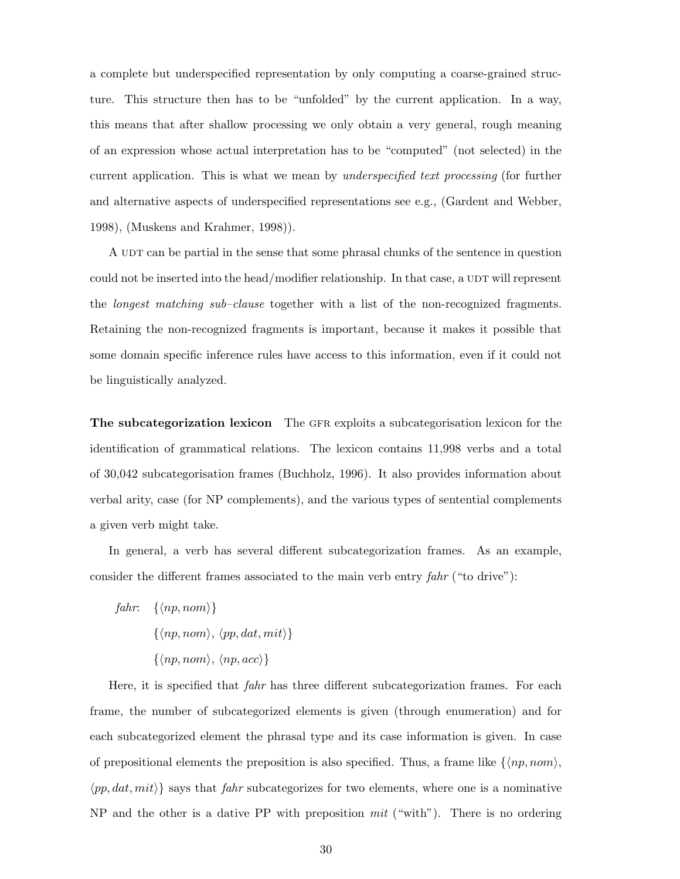a complete but underspecified representation by only computing a coarse-grained structure. This structure then has to be "unfolded" by the current application. In a way, this means that after shallow processing we only obtain a very general, rough meaning of an expression whose actual interpretation has to be "computed" (not selected) in the current application. This is what we mean by *underspecified text processing* (for further and alternative aspects of underspecified representations see e.g., (Gardent and Webber, 1998), (Muskens and Krahmer, 1998)).

A UDT can be partial in the sense that some phrasal chunks of the sentence in question could not be inserted into the head/modifier relationship. In that case, a UDT will represent the *longest matching sub–clause* together with a list of the non-recognized fragments. Retaining the non-recognized fragments is important, because it makes it possible that some domain specific inference rules have access to this information, even if it could not be linguistically analyzed.

The subcategorization lexicon The GFR exploits a subcategorisation lexicon for the identification of grammatical relations. The lexicon contains 11,998 verbs and a total of 30,042 subcategorisation frames (Buchholz, 1996). It also provides information about verbal arity, case (for NP complements), and the various types of sentential complements a given verb might take.

In general, a verb has several different subcategorization frames. As an example, consider the different frames associated to the main verb entry *fahr* ("to drive"):

fahr:  $\{\langle np, nom \rangle\}$  $\{\langle np, nom \rangle, \langle pp, dat, mit \rangle\}$  $\{\langle np, nom \rangle, \langle np, acc \rangle\}$ 

Here, it is specified that fahr has three different subcategorization frames. For each frame, the number of subcategorized elements is given (through enumeration) and for each subcategorized element the phrasal type and its case information is given. In case of prepositional elements the preposition is also specified. Thus, a frame like  $\{\langle np, nom \rangle,$  $\langle pp, dat, mit \rangle$  says that *fahr* subcategorizes for two elements, where one is a nominative  $NP$  and the other is a dative PP with preposition *mit* ("with"). There is no ordering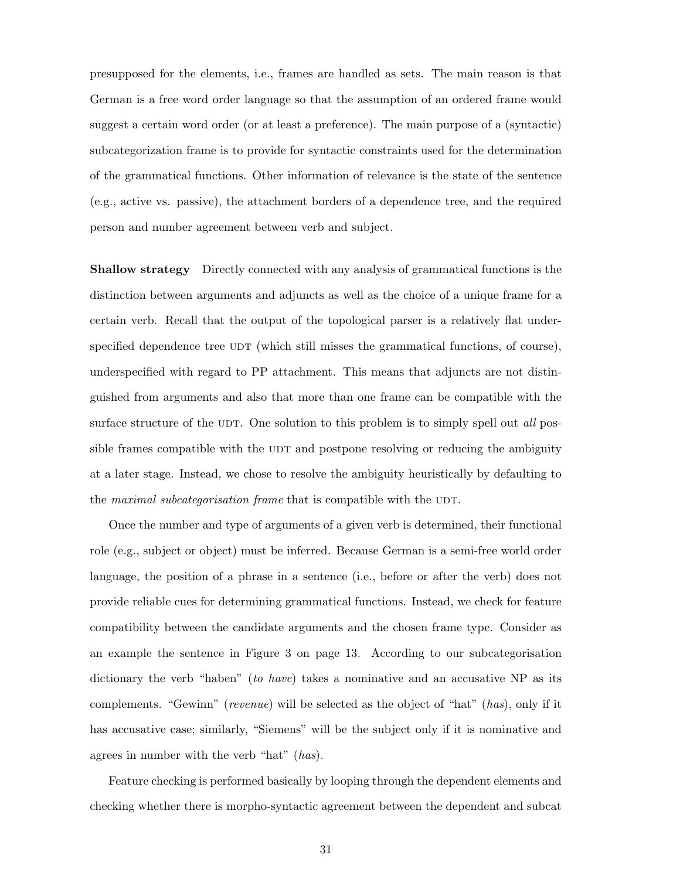presupposed for the elements, i.e., frames are handled as sets. The main reason is that German is a free word order language so that the assumption of an ordered frame would suggest a certain word order (or at least a preference). The main purpose of a (syntactic) subcategorization frame is to provide for syntactic constraints used for the determination of the grammatical functions. Other information of relevance is the state of the sentence (e.g., active vs. passive), the attachment borders of a dependence tree, and the required person and number agreement between verb and subject.

Shallow strategy Directly connected with any analysis of grammatical functions is the distinction between arguments and adjuncts as well as the choice of a unique frame for a certain verb. Recall that the output of the topological parser is a relatively flat underspecified dependence tree UDT (which still misses the grammatical functions, of course), underspecified with regard to PP attachment. This means that adjuncts are not distinguished from arguments and also that more than one frame can be compatible with the surface structure of the UDT. One solution to this problem is to simply spell out all possible frames compatible with the UDT and postpone resolving or reducing the ambiguity at a later stage. Instead, we chose to resolve the ambiguity heuristically by defaulting to the maximal subcategorisation frame that is compatible with the UDT.

Once the number and type of arguments of a given verb is determined, their functional role (e.g., subject or object) must be inferred. Because German is a semi-free world order language, the position of a phrase in a sentence (i.e., before or after the verb) does not provide reliable cues for determining grammatical functions. Instead, we check for feature compatibility between the candidate arguments and the chosen frame type. Consider as an example the sentence in Figure 3 on page 13. According to our subcategorisation dictionary the verb "haben" *(to have)* takes a nominative and an accusative NP as its complements. "Gewinn" (revenue) will be selected as the object of "hat" (has), only if it has accusative case; similarly, "Siemens" will be the subject only if it is nominative and agrees in number with the verb "hat" (has).

Feature checking is performed basically by looping through the dependent elements and checking whether there is morpho-syntactic agreement between the dependent and subcat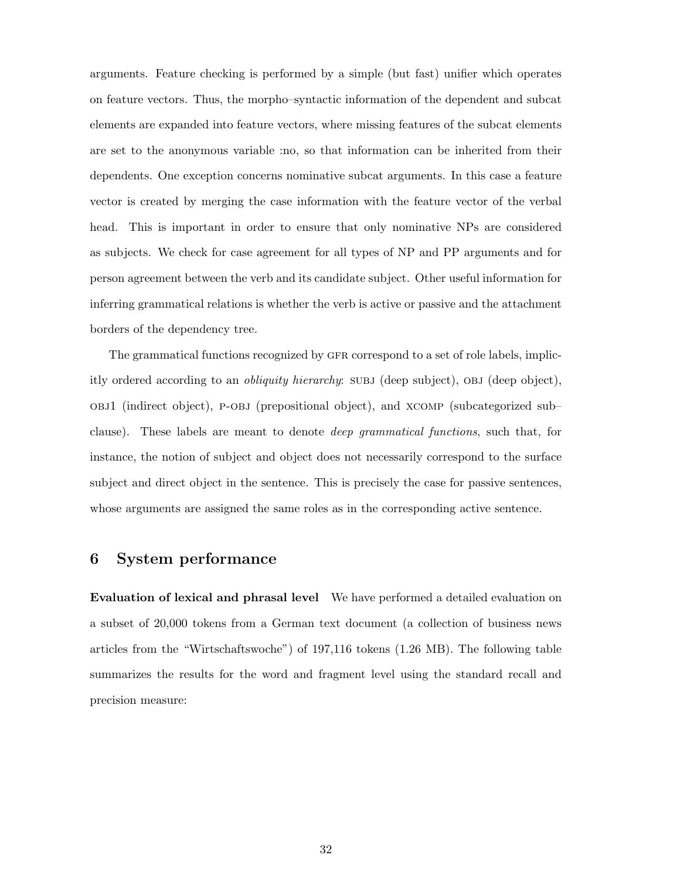arguments. Feature checking is performed by a simple (but fast) unifier which operates on feature vectors. Thus, the morpho–syntactic information of the dependent and subcat elements are expanded into feature vectors, where missing features of the subcat elements are set to the anonymous variable :no, so that information can be inherited from their dependents. One exception concerns nominative subcat arguments. In this case a feature vector is created by merging the case information with the feature vector of the verbal head. This is important in order to ensure that only nominative NPs are considered as subjects. We check for case agreement for all types of NP and PP arguments and for person agreement between the verb and its candidate subject. Other useful information for inferring grammatical relations is whether the verb is active or passive and the attachment borders of the dependency tree.

The grammatical functions recognized by GFR correspond to a set of role labels, implicitly ordered according to an *obliquity hierarchy*: SUBJ (deep subject), OBJ (deep object), obj1 (indirect object), p-obj (prepositional object), and xcomp (subcategorized sub– clause). These labels are meant to denote deep grammatical functions, such that, for instance, the notion of subject and object does not necessarily correspond to the surface subject and direct object in the sentence. This is precisely the case for passive sentences, whose arguments are assigned the same roles as in the corresponding active sentence.

## 6 System performance

Evaluation of lexical and phrasal level We have performed a detailed evaluation on a subset of 20,000 tokens from a German text document (a collection of business news articles from the "Wirtschaftswoche") of 197,116 tokens (1.26 MB). The following table summarizes the results for the word and fragment level using the standard recall and precision measure: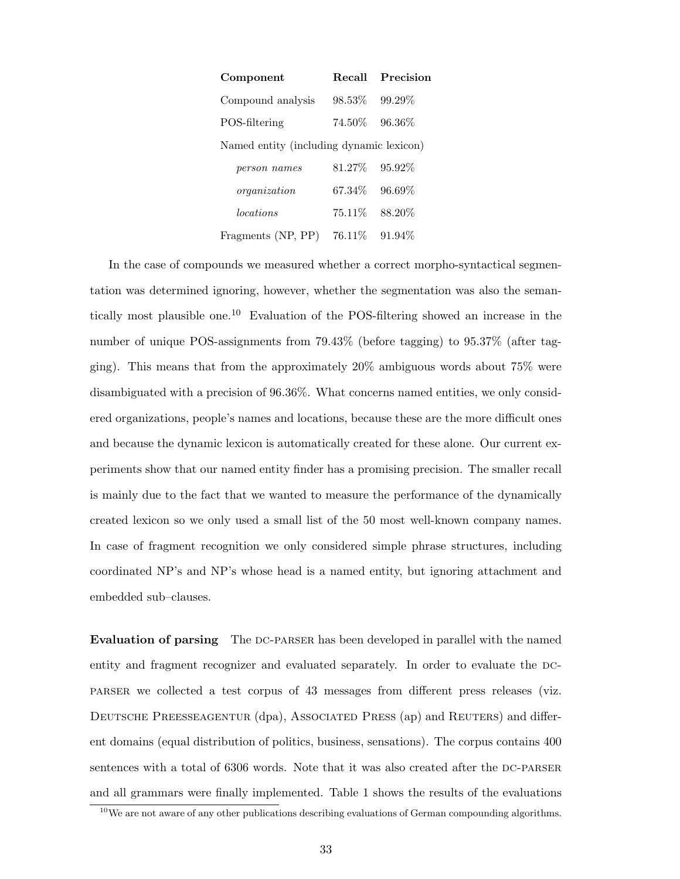| Component           | Recall                                   | Precision |  |  |  |  |
|---------------------|------------------------------------------|-----------|--|--|--|--|
| Compound analysis   | 98.53%                                   | 99.29%    |  |  |  |  |
| POS-filtering       | 74.50%                                   | 96.36%    |  |  |  |  |
|                     | Named entity (including dynamic lexicon) |           |  |  |  |  |
| <i>person names</i> | 81.27%                                   | 95.92%    |  |  |  |  |
| organization        | 67.34\%                                  | 96.69%    |  |  |  |  |
| <i>locations</i>    | 75.11%                                   | 88.20%    |  |  |  |  |
| Fragments (NP, PP)  | 76.11\%                                  | 91.94%    |  |  |  |  |

In the case of compounds we measured whether a correct morpho-syntactical segmentation was determined ignoring, however, whether the segmentation was also the semantically most plausible one.<sup>10</sup> Evaluation of the POS-filtering showed an increase in the number of unique POS-assignments from 79.43% (before tagging) to 95.37% (after tagging). This means that from the approximately 20% ambiguous words about 75% were disambiguated with a precision of 96.36%. What concerns named entities, we only considered organizations, people's names and locations, because these are the more difficult ones and because the dynamic lexicon is automatically created for these alone. Our current experiments show that our named entity finder has a promising precision. The smaller recall is mainly due to the fact that we wanted to measure the performance of the dynamically created lexicon so we only used a small list of the 50 most well-known company names. In case of fragment recognition we only considered simple phrase structures, including coordinated NP's and NP's whose head is a named entity, but ignoring attachment and embedded sub–clauses.

Evaluation of parsing The DC-PARSER has been developed in parallel with the named entity and fragment recognizer and evaluated separately. In order to evaluate the DCparser we collected a test corpus of 43 messages from different press releases (viz. DEUTSCHE PREESSEAGENTUR (dpa), ASSOCIATED PRESS (ap) and REUTERS) and different domains (equal distribution of politics, business, sensations). The corpus contains 400 sentences with a total of 6306 words. Note that it was also created after the DC-PARSER and all grammars were finally implemented. Table 1 shows the results of the evaluations

 $10$ We are not aware of any other publications describing evaluations of German compounding algorithms.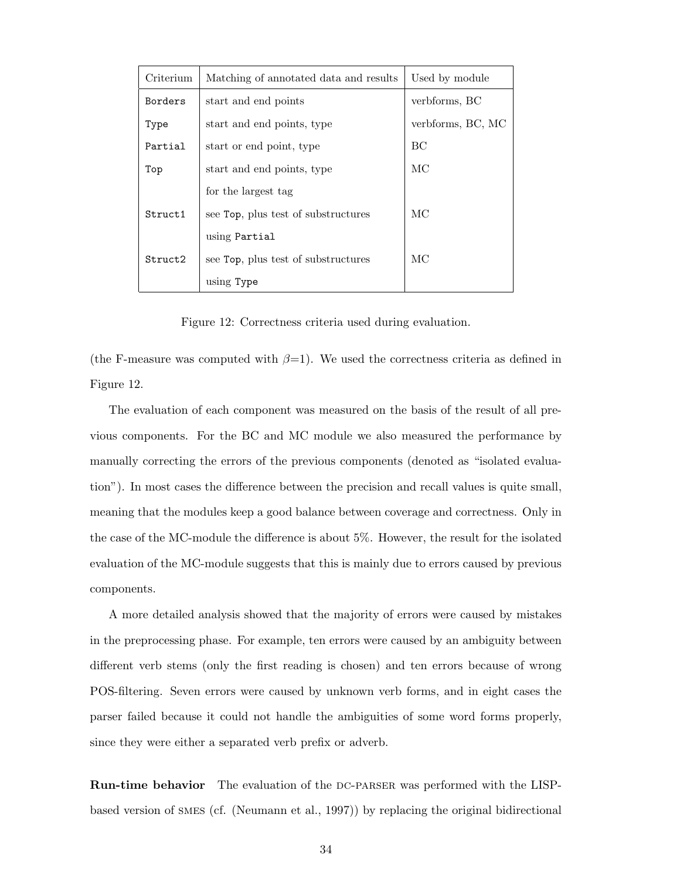| Criterium | Matching of annotated data and results | Used by module    |
|-----------|----------------------------------------|-------------------|
| Borders   | start and end points                   | verbforms, BC     |
| Type      | start and end points, type             | verbforms, BC, MC |
| Partial   | start or end point, type               | ВC                |
| Top       | start and end points, type             | МC                |
|           | for the largest tag                    |                   |
| Struct1   | see Top, plus test of substructures    | МC                |
|           | using Partial                          |                   |
| Struct2   | see Top, plus test of substructures    | МC                |
|           | using Type                             |                   |

Figure 12: Correctness criteria used during evaluation.

(the F-measure was computed with  $\beta=1$ ). We used the correctness criteria as defined in Figure 12.

The evaluation of each component was measured on the basis of the result of all previous components. For the BC and MC module we also measured the performance by manually correcting the errors of the previous components (denoted as "isolated evaluation"). In most cases the difference between the precision and recall values is quite small, meaning that the modules keep a good balance between coverage and correctness. Only in the case of the MC-module the difference is about 5%. However, the result for the isolated evaluation of the MC-module suggests that this is mainly due to errors caused by previous components.

A more detailed analysis showed that the majority of errors were caused by mistakes in the preprocessing phase. For example, ten errors were caused by an ambiguity between different verb stems (only the first reading is chosen) and ten errors because of wrong POS-filtering. Seven errors were caused by unknown verb forms, and in eight cases the parser failed because it could not handle the ambiguities of some word forms properly, since they were either a separated verb prefix or adverb.

**Run-time behavior** The evaluation of the DC-PARSER was performed with the LISPbased version of smes (cf. (Neumann et al., 1997)) by replacing the original bidirectional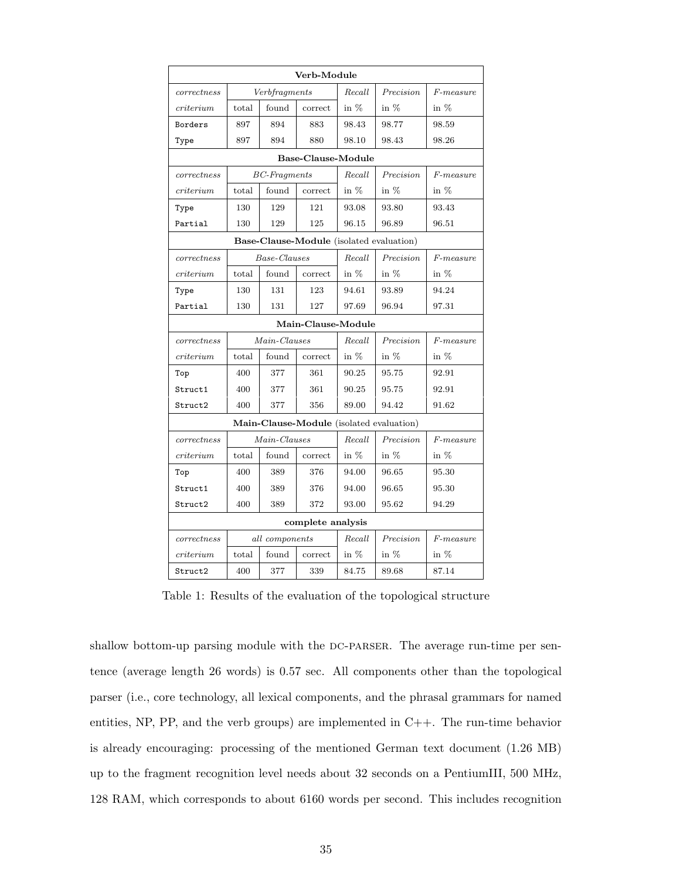| Verb-Module       |                |                 |                    |           |                                          |              |
|-------------------|----------------|-----------------|--------------------|-----------|------------------------------------------|--------------|
| correctness       | Verbfragments  |                 | Recall             | Precision | $F$ -measure                             |              |
| criterion         | $_{\rm total}$ | found           | correct            | in $%$    | in $%$                                   | in $%$       |
| Borders           | 897            | 894             | 883                | 98.43     | 98.77                                    | 98.59        |
| Type              | 897            | 894             | 880                | 98.10     | 98.43                                    | 98.26        |
|                   |                |                 | Base-Clause-Module |           |                                          |              |
| correctness       |                | $BC$ -Fragments |                    | Recall    | <i>Precision</i>                         | $F-measure$  |
| criterion         | total          | found           | correct            | in $%$    | in %                                     | in %         |
| Type              | 130            | 129             | 121                | 93.08     | 93.80                                    | 93.43        |
| Partial           | 130            | 129             | 125                | 96.15     | 96.89                                    | 96.51        |
|                   |                |                 |                    |           | Base-Clause-Module (isolated evaluation) |              |
| correctness       |                | Base-Clauses    |                    | Recall    | <i>Precision</i>                         | $F$ -measure |
| criterion         | total          | found           | correct            | in $%$    | in $%$                                   | in $%$       |
| Type              | 130            | 131             | 123                | 94.61     | 93.89                                    | 94.24        |
| Partial           | 130            | 131             | 127                | 97.69     | 96.94                                    | 97.31        |
|                   |                |                 | Main-Clause-Module |           |                                          |              |
| correctness       |                | Main-Clauses    |                    | Recall    | Precision                                | $F-measure$  |
| criterion         | total          | found           | correct            | in $%$    | in $%$                                   | in $%$       |
| Top               | 400            | 377             | 361                | 90.25     | 95.75                                    | 92.91        |
| Struct1           | 400            | 377             | 361                | 90.25     | 95.75                                    | 92.91        |
| Struct2           | 400            | 377             | 356                | 89.00     | 94.42                                    | 91.62        |
|                   |                |                 |                    |           | Main-Clause-Module (isolated evaluation) |              |
| correctness       |                | $Main-Clauses$  |                    | Recall    | Precision                                | $F-measure$  |
| criterion         | total          | found           | correct            | in $%$    | in $%$                                   | in $%$       |
| Top               | 400            | 389             | 376                | 94.00     | 96.65                                    | 95.30        |
| Struct1           | 400            | 389             | 376                | 94.00     | 96.65                                    | 95.30        |
| Struct2           | 400            | 389             | 372                | 93.00     | 95.62                                    | 94.29        |
| complete analysis |                |                 |                    |           |                                          |              |
| correctness       | all components |                 | Recall             | Precision | $F-measure$                              |              |
| criterion         | $_{\rm total}$ | found           | correct            | in $\%$   | in $%$                                   | in $%$       |
| Struct2           | 400            | 377             | 339                | 84.75     | 89.68                                    | 87.14        |

Table 1: Results of the evaluation of the topological structure

shallow bottom-up parsing module with the DC-PARSER. The average run-time per sentence (average length 26 words) is 0.57 sec. All components other than the topological parser (i.e., core technology, all lexical components, and the phrasal grammars for named entities, NP, PP, and the verb groups) are implemented in  $C++$ . The run-time behavior is already encouraging: processing of the mentioned German text document (1.26 MB) up to the fragment recognition level needs about 32 seconds on a PentiumIII, 500 MHz, 128 RAM, which corresponds to about 6160 words per second. This includes recognition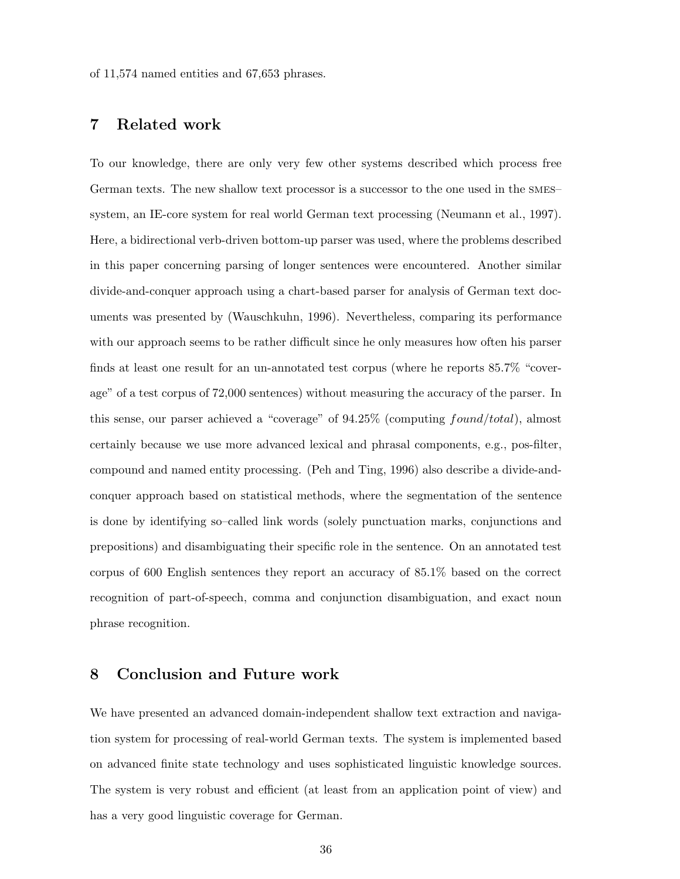of 11,574 named entities and 67,653 phrases.

#### 7 Related work

To our knowledge, there are only very few other systems described which process free German texts. The new shallow text processor is a successor to the one used in the smes– system, an IE-core system for real world German text processing (Neumann et al., 1997). Here, a bidirectional verb-driven bottom-up parser was used, where the problems described in this paper concerning parsing of longer sentences were encountered. Another similar divide-and-conquer approach using a chart-based parser for analysis of German text documents was presented by (Wauschkuhn, 1996). Nevertheless, comparing its performance with our approach seems to be rather difficult since he only measures how often his parser finds at least one result for an un-annotated test corpus (where he reports 85.7% "coverage" of a test corpus of 72,000 sentences) without measuring the accuracy of the parser. In this sense, our parser achieved a "coverage" of  $94.25\%$  (computing found/total), almost certainly because we use more advanced lexical and phrasal components, e.g., pos-filter, compound and named entity processing. (Peh and Ting, 1996) also describe a divide-andconquer approach based on statistical methods, where the segmentation of the sentence is done by identifying so–called link words (solely punctuation marks, conjunctions and prepositions) and disambiguating their specific role in the sentence. On an annotated test corpus of 600 English sentences they report an accuracy of 85.1% based on the correct recognition of part-of-speech, comma and conjunction disambiguation, and exact noun phrase recognition.

## 8 Conclusion and Future work

We have presented an advanced domain-independent shallow text extraction and navigation system for processing of real-world German texts. The system is implemented based on advanced finite state technology and uses sophisticated linguistic knowledge sources. The system is very robust and efficient (at least from an application point of view) and has a very good linguistic coverage for German.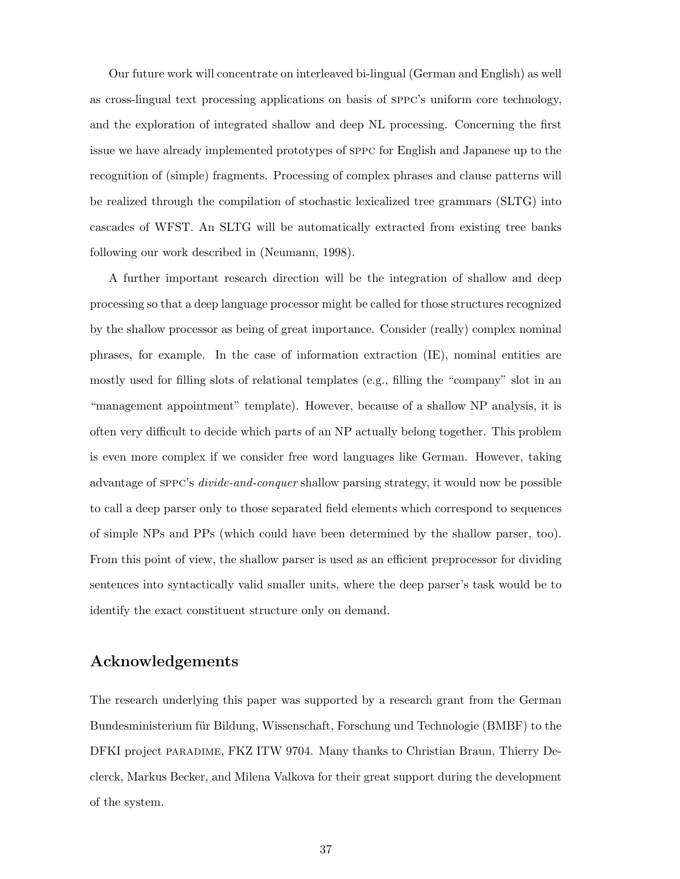Our future work will concentrate on interleaved bi-lingual (German and English) as well as cross-lingual text processing applications on basis of sppc's uniform core technology, and the exploration of integrated shallow and deep NL processing. Concerning the first issue we have already implemented prototypes of sppc for English and Japanese up to the recognition of (simple) fragments. Processing of complex phrases and clause patterns will be realized through the compilation of stochastic lexicalized tree grammars (SLTG) into cascades of WFST. An SLTG will be automatically extracted from existing tree banks following our work described in (Neumann, 1998).

A further important research direction will be the integration of shallow and deep processing so that a deep language processor might be called for those structures recognized by the shallow processor as being of great importance. Consider (really) complex nominal phrases, for example. In the case of information extraction (IE), nominal entities are mostly used for filling slots of relational templates (e.g., filling the "company" slot in an "management appointment" template). However, because of a shallow NP analysis, it is often very difficult to decide which parts of an NP actually belong together. This problem is even more complex if we consider free word languages like German. However, taking advantage of sppc's divide-and-conquer shallow parsing strategy, it would now be possible to call a deep parser only to those separated field elements which correspond to sequences of simple NPs and PPs (which could have been determined by the shallow parser, too). From this point of view, the shallow parser is used as an efficient preprocessor for dividing sentences into syntactically valid smaller units, where the deep parser's task would be to identify the exact constituent structure only on demand.

## Acknowledgements

The research underlying this paper was supported by a research grant from the German Bundesministerium für Bildung, Wissenschaft, Forschung und Technologie (BMBF) to the DFKI project paradime, FKZ ITW 9704. Many thanks to Christian Braun, Thierry Declerck, Markus Becker, and Milena Valkova for their great support during the development of the system.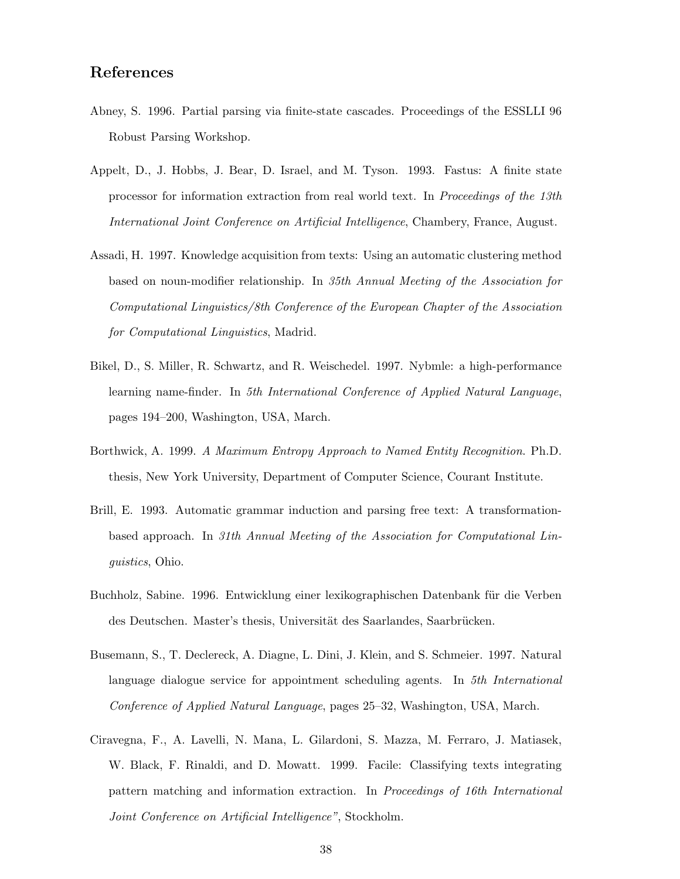## References

- Abney, S. 1996. Partial parsing via finite-state cascades. Proceedings of the ESSLLI 96 Robust Parsing Workshop.
- Appelt, D., J. Hobbs, J. Bear, D. Israel, and M. Tyson. 1993. Fastus: A finite state processor for information extraction from real world text. In Proceedings of the 13th International Joint Conference on Artificial Intelligence, Chambery, France, August.
- Assadi, H. 1997. Knowledge acquisition from texts: Using an automatic clustering method based on noun-modifier relationship. In 35th Annual Meeting of the Association for Computational Linguistics/8th Conference of the European Chapter of the Association for Computational Linguistics, Madrid.
- Bikel, D., S. Miller, R. Schwartz, and R. Weischedel. 1997. Nybmle: a high-performance learning name-finder. In 5th International Conference of Applied Natural Language, pages 194–200, Washington, USA, March.
- Borthwick, A. 1999. A Maximum Entropy Approach to Named Entity Recognition. Ph.D. thesis, New York University, Department of Computer Science, Courant Institute.
- Brill, E. 1993. Automatic grammar induction and parsing free text: A transformationbased approach. In 31th Annual Meeting of the Association for Computational Linguistics, Ohio.
- Buchholz, Sabine. 1996. Entwicklung einer lexikographischen Datenbank für die Verben des Deutschen. Master's thesis, Universität des Saarlandes, Saarbrücken.
- Busemann, S., T. Declereck, A. Diagne, L. Dini, J. Klein, and S. Schmeier. 1997. Natural language dialogue service for appointment scheduling agents. In 5th International Conference of Applied Natural Language, pages 25–32, Washington, USA, March.
- Ciravegna, F., A. Lavelli, N. Mana, L. Gilardoni, S. Mazza, M. Ferraro, J. Matiasek, W. Black, F. Rinaldi, and D. Mowatt. 1999. Facile: Classifying texts integrating pattern matching and information extraction. In Proceedings of 16th International Joint Conference on Artificial Intelligence", Stockholm.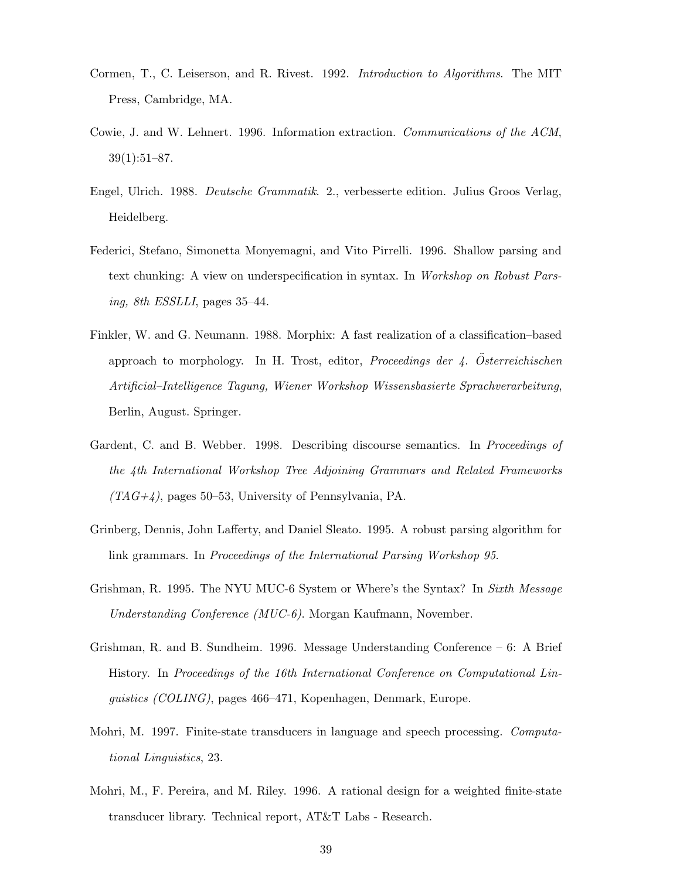- Cormen, T., C. Leiserson, and R. Rivest. 1992. Introduction to Algorithms. The MIT Press, Cambridge, MA.
- Cowie, J. and W. Lehnert. 1996. Information extraction. Communications of the ACM, 39(1):51–87.
- Engel, Ulrich. 1988. Deutsche Grammatik. 2., verbesserte edition. Julius Groos Verlag, Heidelberg.
- Federici, Stefano, Simonetta Monyemagni, and Vito Pirrelli. 1996. Shallow parsing and text chunking: A view on underspecification in syntax. In Workshop on Robust Parsing, 8th ESSLLI, pages 35–44.
- Finkler, W. and G. Neumann. 1988. Morphix: A fast realization of a classification–based approach to morphology. In H. Trost, editor, Proceedings der  $\ddot{4}$ . Österreichischen Artificial–Intelligence Tagung, Wiener Workshop Wissensbasierte Sprachverarbeitung, Berlin, August. Springer.
- Gardent, C. and B. Webber. 1998. Describing discourse semantics. In Proceedings of the 4th International Workshop Tree Adjoining Grammars and Related Frameworks  $(TAG+\xi)$ , pages 50–53, University of Pennsylvania, PA.
- Grinberg, Dennis, John Lafferty, and Daniel Sleato. 1995. A robust parsing algorithm for link grammars. In Proceedings of the International Parsing Workshop 95.
- Grishman, R. 1995. The NYU MUC-6 System or Where's the Syntax? In Sixth Message Understanding Conference (MUC-6). Morgan Kaufmann, November.
- Grishman, R. and B. Sundheim. 1996. Message Understanding Conference  $-6$ : A Brief History. In Proceedings of the 16th International Conference on Computational Linguistics (COLING), pages 466–471, Kopenhagen, Denmark, Europe.
- Mohri, M. 1997. Finite-state transducers in language and speech processing. Computational Linguistics, 23.
- Mohri, M., F. Pereira, and M. Riley. 1996. A rational design for a weighted finite-state transducer library. Technical report, AT&T Labs - Research.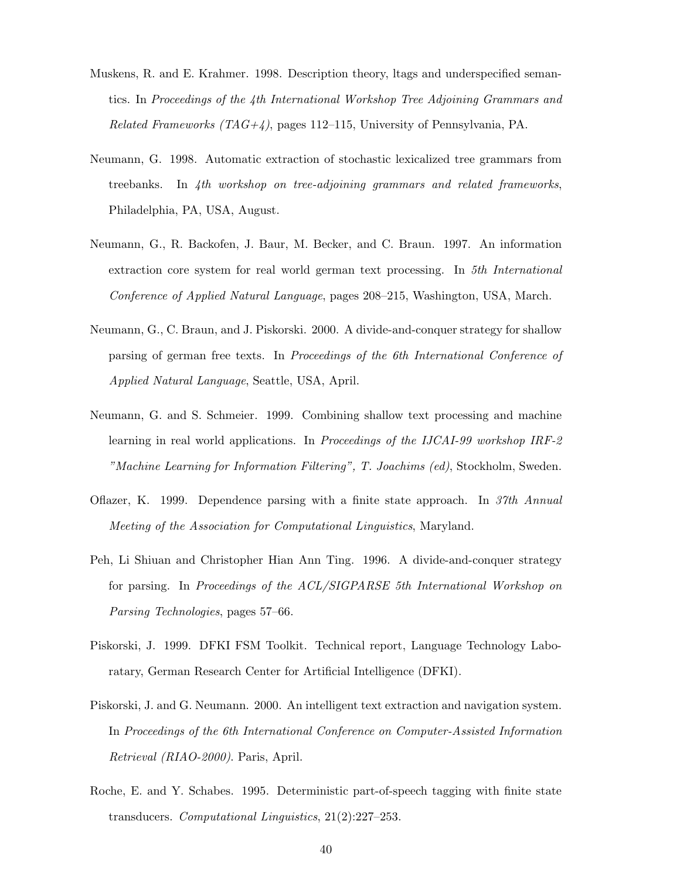- Muskens, R. and E. Krahmer. 1998. Description theory, ltags and underspecified semantics. In Proceedings of the 4th International Workshop Tree Adjoining Grammars and *Related Frameworks (TAG+4)*, pages 112–115, University of Pennsylvania, PA.
- Neumann, G. 1998. Automatic extraction of stochastic lexicalized tree grammars from treebanks. In 4th workshop on tree-adjoining grammars and related frameworks, Philadelphia, PA, USA, August.
- Neumann, G., R. Backofen, J. Baur, M. Becker, and C. Braun. 1997. An information extraction core system for real world german text processing. In 5th International Conference of Applied Natural Language, pages 208–215, Washington, USA, March.
- Neumann, G., C. Braun, and J. Piskorski. 2000. A divide-and-conquer strategy for shallow parsing of german free texts. In Proceedings of the 6th International Conference of Applied Natural Language, Seattle, USA, April.
- Neumann, G. and S. Schmeier. 1999. Combining shallow text processing and machine learning in real world applications. In Proceedings of the IJCAI-99 workshop IRF-2 "Machine Learning for Information Filtering", T. Joachims (ed), Stockholm, Sweden.
- Oflazer, K. 1999. Dependence parsing with a finite state approach. In 37th Annual Meeting of the Association for Computational Linguistics, Maryland.
- Peh, Li Shiuan and Christopher Hian Ann Ting. 1996. A divide-and-conquer strategy for parsing. In Proceedings of the ACL/SIGPARSE 5th International Workshop on Parsing Technologies, pages 57–66.
- Piskorski, J. 1999. DFKI FSM Toolkit. Technical report, Language Technology Laboratary, German Research Center for Artificial Intelligence (DFKI).
- Piskorski, J. and G. Neumann. 2000. An intelligent text extraction and navigation system. In Proceedings of the 6th International Conference on Computer-Assisted Information Retrieval (RIAO-2000). Paris, April.
- Roche, E. and Y. Schabes. 1995. Deterministic part-of-speech tagging with finite state transducers. Computational Linguistics, 21(2):227–253.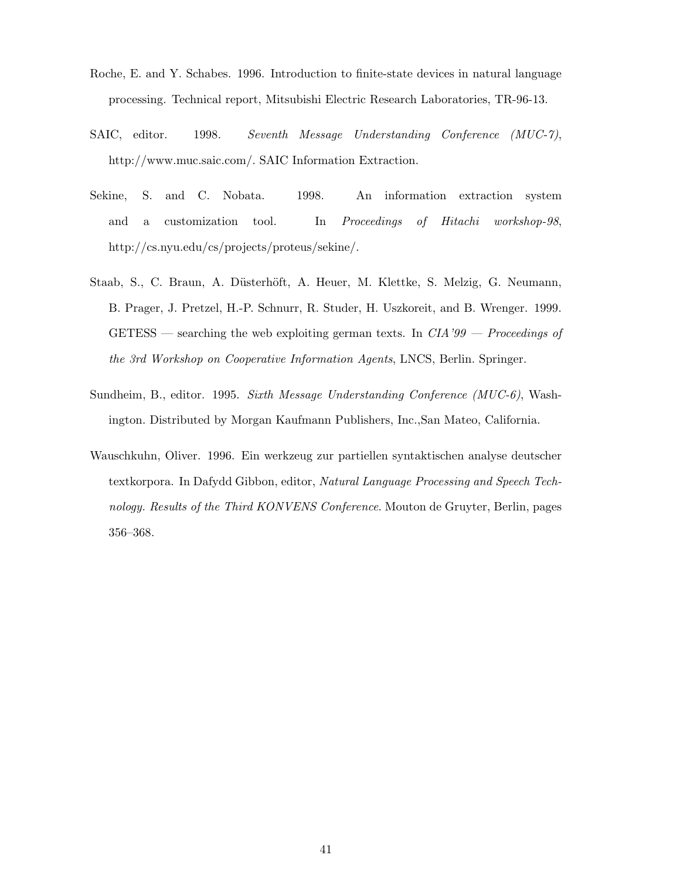- Roche, E. and Y. Schabes. 1996. Introduction to finite-state devices in natural language processing. Technical report, Mitsubishi Electric Research Laboratories, TR-96-13.
- SAIC, editor. 1998. Seventh Message Understanding Conference (MUC-7), http://www.muc.saic.com/. SAIC Information Extraction.
- Sekine, S. and C. Nobata. 1998. An information extraction system and a customization tool. In Proceedings of Hitachi workshop-98, http://cs.nyu.edu/cs/projects/proteus/sekine/.
- Staab, S., C. Braun, A. Düsterhöft, A. Heuer, M. Klettke, S. Melzig, G. Neumann, B. Prager, J. Pretzel, H.-P. Schnurr, R. Studer, H. Uszkoreit, and B. Wrenger. 1999.  $GETESS$  — searching the web exploiting german texts. In  $CIA'39$  — Proceedings of the 3rd Workshop on Cooperative Information Agents, LNCS, Berlin. Springer.
- Sundheim, B., editor. 1995. Sixth Message Understanding Conference (MUC-6), Washington. Distributed by Morgan Kaufmann Publishers, Inc.,San Mateo, California.
- Wauschkuhn, Oliver. 1996. Ein werkzeug zur partiellen syntaktischen analyse deutscher textkorpora. In Dafydd Gibbon, editor, Natural Language Processing and Speech Technology. Results of the Third KONVENS Conference. Mouton de Gruyter, Berlin, pages 356–368.